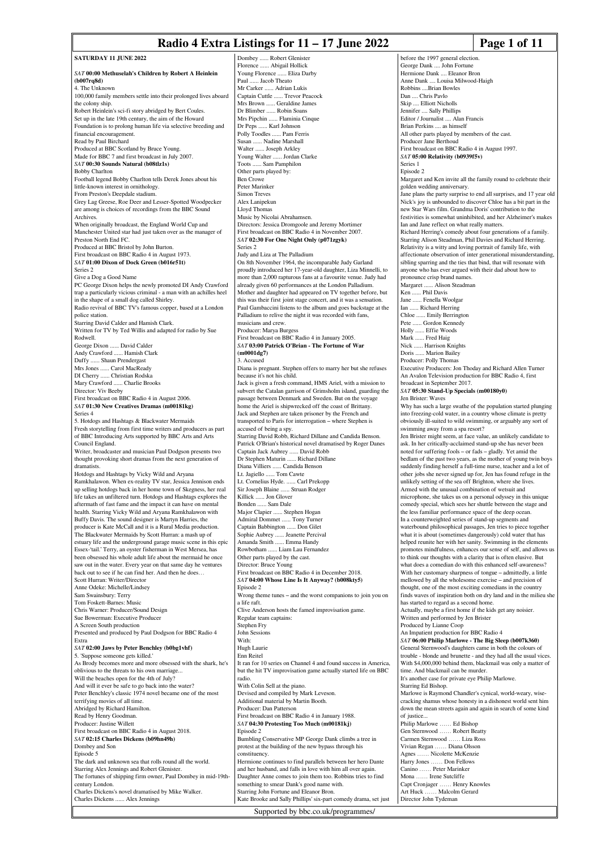#### **Radio 4 Extra Listings for 11 – 17 June 2022** Page 1 of 11

before the 1997 general election. George Dank .... John Fortu

**SATURDAY 11 HINE 2022** *SAT* **00:00 Methuselah's Children by Robert A Heinlein (b007rq8d)** 4. The Unknown 100,000 family members settle into their prolonged lives aboard the colony ship. Robert Heinlein's sci-fi story abridged by Bert Coules. Set up in the late 19th century, the aim of the Howard Foundation is to prolong human life via selective breeding and financial encouragement. Read by Paul Birchard Produced at BBC Scotland by Bruce Young. Made for BBC 7 and first broadcast in July 2007. *SAT* **00:30 Sounds Natural (b08tlz1s)** Bobby Charlton Football legend Bobby Charlton tells Derek Jones about his little-known interest in ornithology. From Preston's Deepdale stadium. Grey Lag Greese, Roe Deer and Lesser-Spotted Woodpecker are among is choices of recordings from the BBC Sound Archives. When originally broadcast, the England World Cup and Manchester United star had just taken over as the manager of Preston North End FC. Produced at BBC Bristol by John Burton. First broadcast on BBC Radio 4 in August 1973. *SAT* **01:00 Dixon of Dock Green (b016r51t)** Series 2 Give a Dog a Good Name PC George Dixon helps the newly promoted DI Andy Crawford trap a particularly vicious criminal - a man with an achilles heel in the shape of a small dog called Shirley. Radio revival of BBC TV's famous copper, based at a London police station. Starring David Calder and Hamish Clark. Written for TV by Ted Willis and adapted for radio by Sue Rodwell. George Dixon ...... David Calder Andy Crawford ...... Hamish Clark Duffy ...... Shaun Prendergast Mrs Jones ...... Carol MacReady DI Cherry ...... Christian Rodska Mary Crawford ...... Charlie Brooks Director: Viv Beeby First broadcast on BBC Radio 4 in August 2006. *SAT* **01:30 New Creatives Dramas (m00181kg)** Series 4 5. Hotdogs and Hashtags & Blackwater Mermaids Fresh storytelling from first time writers and producers as part of BBC Introducing Arts supported by BBC Arts and Arts Council England. Writer, broadcaster and musician Paul Dodgson presents two thought provoking short dramas from the next generation of dramatists. Hotdogs and Hashtags by Vicky Wild and Aryana Ramkhalawon. When ex-reality TV star, Jessica Jennison ends up selling hotdogs back in her home town of Skegness, her real life takes an unfiltered turn. Hotdogs and Hashtags explores the aftermath of fast fame and the impact it can have on mental health. Starring Vicky Wild and Aryana Ramkhalawon with Buffy Davis. The sound designer is Martyn Harries, the producer is Kate McCall and it is a Rural Media production. The Blackwater Mermaids by Scott Hurran: a mash up of estuary life and the underground garage music scene in this epic Essex-'tail.' Terry, an oyster fisherman in West Mersea, has been obsessed his whole adult life about the mermaid he once saw out in the water. Every year on that same day he ventures back out to see if he can find her. And then he does… Scott Hurran: Writer/Director Anne Odeke: Michelle/Lindsey Sam Swainsbury: Terry Tom Foskett-Barnes: Music Chris Warner: Producer/Sound Design Sue Bowerman: Executive Producer A Screen South production Presented and produced by Paul Dodgson for BBC Radio 4 Extra *SAT* **02:00 Jaws by Peter Benchley (b0bg1vhf)** 5. 'Suppose someone gets killed.' As Brody becomes more and more obsessed with the shark, he's oblivious to the threats to his own marriage... Will the beaches open for the 4th of July? And will it ever be safe to go back into the water? Peter Benchley's classic 1974 novel became one of the most terrifying movies of all time. Abridged by Richard Hamilton. Read by Henry Goodman. Producer: Justine Willett First broadcast on BBC Radio 4 in August 2018. *SAT* **02:15 Charles Dickens (b09hn49h)** Dombey and Son Episode 5 The dark and unknown sea that rolls round all the world. Starring Alex Jennings and Robert Glenister. The fortunes of shipping firm owner, Paul Dombey in mid-19thcentury London. Charles Dickens's novel dramatised by Mike Walker. Charles Dickens ...... Alex Jennings Starring John Fortune and Eleanor Bron. Kate Brooke and Sally Phillips' six-part comedy drama, set just

Dombey ...... Robert Glenister Florence ...... Abigail Hollick Young Florence ...... Eliza Darby Paul ....... Jacob Theato Mr Carker ...... Adrian Lukis Captain Cuttle ...... Trevor Peacock Mrs Brown ...... Geraldine James Dr Blimber ...... Robin Soan<br>Mrs Pipchin ...... Flaminia C .. Flaminia Cinque Dr Peps ...... Karl Johnson Polly Toodles ...... Pam Ferris usan ...... Nadine Marshall Walter ...... Joseph Arkley Young Walter ...... Jordan Clarke Toots ...... Sam Pamphilon Other parts played by: Ben Crowe Peter Marinker Simon Treves Alex Lanipekun Lloyd Thomas Music by Nicolai Abrahamsen. Directors: Jessica Dromgoole and Jeremy Mortimer First broadcast on BBC Radio 4 in November 2007. *SAT* **02:30 For One Night Only (p071zgyk)** Series 2 Judy and Liza at The Palladium On 8th November 1964, the incomparable Judy Garland proudly introduced her 17-year-old daughter, Liza Minnelli, to more than 2,000 rapturous fans at a favourite venue. Judy had already given 60 performances at the London Palladium. Mother and daughter had appeared on TV together before, but this was their first joint stage concert, and it was a sensation. Paul Gambaccini listens to the album and goes backstage at the Palladium to relive the night it was recorded with fans musicians and crew. Producer: Marya Burges First broadcast on BBC Radio 4 in January 2005. *SAT* **03:00 Patrick O'Brian - The Fortune of War (m0001dg7)** 3. Accused Diana is pregnant. Stephen offers to marry her but she refuses because it's not his child. Jack is given a fresh command, HMS Ariel, with a mission to subvert the Catalan garrison of Grimsholm island, guarding the passage between Denmark and Sweden. But on the voyage home the Ariel is shipwrecked off the coast of Brittany. Jack and Stephen are taken prisoner by the French and transported to Paris for interrogation – where Stephen is accused of being a spy. Starring David Robb, Richard Dillane and Candida Benson. Patrick O'Brian's historical novel dramatised by Roger Danes Captain Jack Aubrey ...... David Robb Dr Stephen Maturin ...... Richard Dillane Diana Villiers ...... Candida Benson Lt. Jagiello ...... Tom Cawte Lt. Cornelius Hyde. ...... Carl Prekopp Sir Joseph Blaine ...... Struan Rodger Killick ...... Jon Glover Bonden ...... Sam Dale Major Clapier ...... Stephen Hogan Admiral Dommet ...... Tony Turner Captain Babbington ...... Don Gilet Sophie Aubrey ...... Jeanette Percival Amanda Smith ...... Emma Handy Rowbotham ...... Liam Lau Fernandez Other parts played by the cast. Director: Bruce Young First broadcast on BBC Radio 4 in December 2018. *SAT* **04:00 Whose Line Is It Anyway? (b008kty5)** Episode 2 Wrong theme tunes – and the worst companions to join you on a life raft. Clive Anderson hosts the famed improvisation game. Regular team captains: Stephen Fry John Sessions With: Hugh Laurie Enn Reitel It ran for 10 series on Channel 4 and found success in America, but the hit TV improvisation game actually started life on BBC radio. With Colin Sell at the piano. Devised and compiled by Mark Leveson. Additional material by Martin Booth. Producer: Dan Patterson First broadcast on BBC Radio 4 in January 1988. *SAT* **04:30 Protesting Too Much (m00181kj)** Episode 2 Bumbling Conservative MP George Dank climbs a tree in protest at the building of the new bypass through his <sub>-</sub><br>constituency. Hermione continues to find parallels between her hero Dante and her husband, and falls in love with him all over again. Daughter Anne comes to join them too. Robbins tries to find something to smear Dank's good name with.

Hermione Dank .... Eleanor Bron Anne Dank .... Louisa Milwood-Haigh Robbins ....Brian Bowles Dan .... Chris Pavlo Skip .... Elliott Nicholls Jennifer .... Sally Phillips Editor / Journalist .... Alan Francis Brian Perkins .... as himself All other parts played by members of the cast. Producer Jane Berthoud First broadcast on BBC Radio 4 in August 1997. *SAT* **05:00 Relativity (b0939f5v)** Series 1 Episode 2 Margaret and Ken invite all the family round to celebrate their golden wedding anniversary. Jane plans the party surprise to end all surprises, and 17 year old Nick's joy is unbounded to discover Chloe has a bit part in the new Star Wars film. Grandma Doris' contribution to the festivities is somewhat uninhibited, and her Alzheimer's makes Ian and Jane reflect on what really matters. Richard Herring's comedy about four generations of a family. Starring Alison Steadman, Phil Davies and Richard Herring. Relativity is a witty and loving portrait of family life, with affectionate observation of inter generational misunderstanding, sibling sparring and the ties that bind, that will resonate with anyone who has ever argued with their dad about how to pronounce crisp brand names. Margaret ...... Alison Steadman Ken ...... Phil Davis Jane ...... Fenella Woolgar Ian ...... Richard Herring Chloe ...... Emily Berrington Pete ...... Gordon Kennedy Holly ...... Effie Woods Mark ...... Fred Haig Nick ...... Harrison Knights Doris ...... Marion Bailey Producer: Polly Thomas Executive Producers: Jon Thoday and Richard Allen Turner An Avalon Television production for BBC Radio 4, first broadcast in September 2017. *SAT* **05:30 Stand-Up Specials (m00180y0)** Jen Brister: Waves Why has such a large swathe of the population started plunging into freezing-cold water, in a country whose climate is pretty obviously ill-suited to wild swimming, or arguably any sort of swimming away from a spa resort? Jen Brister might seem, at face value, an unlikely candidate to ask. In her critically-acclaimed stand-up she has never been noted for suffering fools – or fads – gladly. Yet amid the bedlam of the past two years, as the mother of young twin boys suddenly finding herself a full-time nurse, teacher and a lot of other jobs she never signed up for, Jen has found refuge in the unlikely setting of the sea off Brighton, where she lives. Armed with the unusual combination of wetsuit and microphone, she takes us on a personal odyssey in this unique comedy special, which sees her shuttle between the stage and the less familiar performance space of the deep ocean. In a counterweighted series of stand-up segments and waterbound philosophical passages, Jen tries to piece together what it is about (sometimes dangerously) cold water that has helped reunite her with her sanity. Swimming in the elements promotes mindfulness, enhances our sense of self, and allows us to think our thoughts with a clarity that is often elusive. But what does a comedian do with this enhanced self-awareness? With her customary sharpness of tongue – admittedly, a little mellowed by all the wholesome exercise – and precision of thought, one of the most exciting comedians in the country finds waves of inspiration both on dry land and in the milieu she has started to regard as a second home Actually, maybe a first home if the kids get any noisier. Written and performed by Jen Brister Produced by Lianne Coop An Impatient production for BBC Radio 4 *SAT* **06:00 Philip Marlowe - The Big Sleep (b007k360)** General Sternwood's daughters came in both the colours of trouble - blonde and brunette - and they had all the usual vices. With \$4,000,000 behind them, blackmail was only a matter of time. And blackmail can be murder. It's another case for private eye Philip Marlowe. Starring Ed Bishop. Marlowe is Raymond Chandler's cynical, world-weary, wisecracking shamus whose honesty in a dishonest world sent him down the mean streets again and again in search of some kind of justice... Philip Marlowe …… Ed Bishop Gen Sternwood …… Robert Beatty Carmen Sternwood …… Liza Ross Vivian Regan …… Diana Olsson Agnes …… Nicolette McKenzie Harry Jones …… Don Fellows Canino …… Peter Marinker Mona …… Irene Sutcliffe Capt Cronjager …… Henry Knowles Art Huck …… Malcolm Gerard Director John Tydeman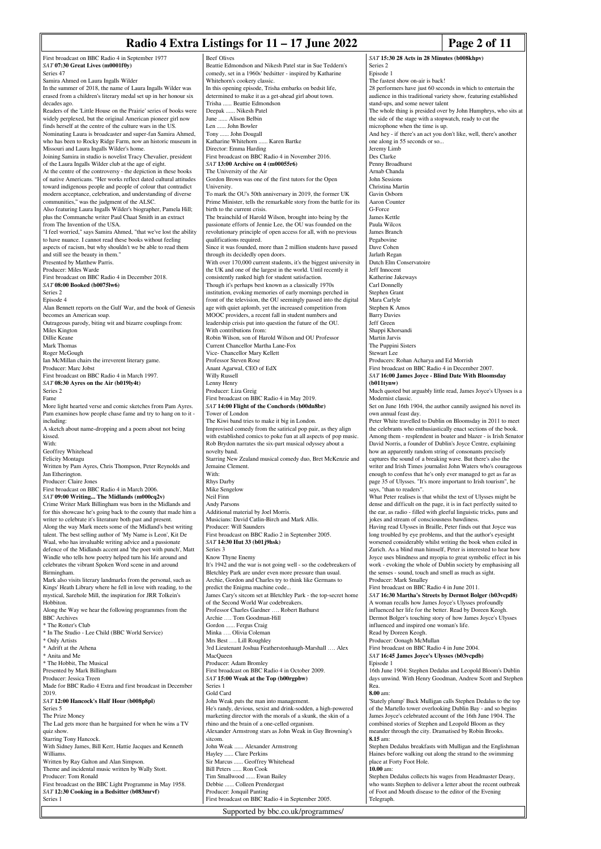#### **Radio 4 Extra Listings for 11 – 17 June 2022** Page 2 of 11

*SAT* **15:30 28 Acts in 28 Minutes (b008khpv)**

First broadcast on BBC Radio 4 in September 1977 *SAT* **07:30 Great Lives (m0001f0y)** Series 47 Samira Ahmed on Laura Ingalls Wilder In the summer of 2018, the name of Laura Ingalls Wilder was erased from a children's literary medal set up in her honour six decades ago. Readers of the 'Little House on the Prairie' series of books were widely perplexed, but the original American pioneer girl now finds herself at the centre of the culture wars in the US. Nominating Laura is broadcaster and super-fan Samira Ahmed, who has been to Rocky Ridge Farm, now an historic museum in Missouri and Laura Ingalls Wilder's home. Joining Samira in studio is novelist Tracy Chevalier, president of the Laura Ingalls Wilder club at the age of eight. At the centre of the controversy - the depiction in these books of native Americans. "Her works reflect dated cultural attitudes toward indigenous people and people of colour that contradict modern acceptance, celebration, and understanding of diverse communities," was the judgment of the ALSC. Also featuring Laura Ingalls Wilder's biographer, Pamela Hill; plus the Commanche writer Paul Chaat Smith in an extract from The Invention of the USA. "I feel worried," says Samira Ahmed, "that we've lost the ability to have nuance. I cannot read these books without feeling aspects of racism, but why shouldn't we be able to read them and still see the beauty in them. Presented by Matthew Parris. Producer: Miles Warde First broadcast on BBC Radio 4 in December 2018. *SAT* **08:00 Booked (b0075lw6)** Series 2 Episode 4 Alan Bennett reports on the Gulf War, and the book of Genesis becomes an American soap. Outrageous parody, biting wit and bizarre couplings from: Miles Kington Dillie Keane Mark Thomas Roger McGough Ian McMillan chairs the irreverent literary game. Producer: Marc Jobst First broadcast on BBC Radio 4 in March 1997. *SAT* **08:30 Ayres on the Air (b019ly4t)** Series 2 Fame More light hearted verse and comic sketches from Pam Ayres. Pam examines how people chase fame and try to hang on to it including: A sketch about name-dropping and a poem about not being kissed. With: Geoffrey Whitehead Felicity Montagu Written by Pam Ayres, Chris Thompson, Peter Reynolds and Jan Etherington. Producer: Claire Jones First broadcast on BBC Radio 4 in March 2006. *SAT* **09:00 Writing... The Midlands (m000cq2v)** Crime Writer Mark Billingham was born in the Midlands and for this showcase he's going back to the county that made him a writer to celebrate it's literature both past and present. Along the way Mark meets some of the Midland's best writing talent. The best selling author of 'My Name is Leon', Kit De Waal, who has invaluable writing advice and a passionate defence of the Midlands accent and 'the poet with punch', Matt Windle who tells how poetry helped turn his life around and celebrates the vibrant Spoken Word scene in and around Birmingham. Mark also visits literary landmarks from the personal, such as Kings' Heath Library where he fell in love with reading, to the mystical, Sarehole Mill, the inspiration for JRR Tolkein's Hobbiton. Along the Way we hear the following programmes from the BBC Archives \* The Rotter's Club \* In The Studio - Lee Child (BBC World Service) \* Only Artists \* Adrift at the Athena \* Anita and Me \* The Hobbit, The Musical Presented by Mark Billingham Producer: Jessica Treen Made for BBC Radio 4 Extra and first broadcast in December 2019. *SAT* **12:00 Hancock's Half Hour (b008p8pl)** Series 5 The Prize Money The Lad gets more than he bargained for when he wins a TV quiz show. Starring Tony Hancock. With Sidney James, Bill Kerr, Hattie Jacques and Kenneth Williams. Written by Ray Galton and Alan Simpson. Theme and incidental music written by Wally Stott. Producer: Tom Ronald First broadcast on the BBC Light Programme in May 1958. *SAT* **12:30 Cooking in a Bedsitter (b083mrvf)** Series 1 With:

Beef Olives Beattie Edmondson and Nikesh Patel star in Sue Teddern's comedy, set in a 1960s' bedsitter - inspired by Katharine Whitehorn's cookery classic. In this opening episode, Trisha embarks on bedsit life, determined to make it as a get-ahead girl about town. Trisha ...... Beattie Edmondson Deepak ...... Nikesh Patel ne ...... Alison Belbin Len ...... John Bowler Tony ...... John Dougall Katharine Whitehorn ...... Karen Bartke Director: Emma Harding First broadcast on BBC Radio 4 in November 2016. *SAT* **13:00 Archive on 4 (m00055r6)** The University of the Air Gordon Brown was one of the first tutors for the Open University. To mark the OU's 50th anniversary in 2019, the former UK Prime Minister, tells the remarkable story from the battle for its birth to the current crisis The brainchild of Harold Wilson, brought into being by the passionate efforts of Jennie Lee, the OU was founded on the revolutionary principle of open access for all, with no previous qualifications required. Since it was founded, more than 2 million students have passed through its decidedly open doors. With over 170,000 current students, it's the biggest university in the UK and one of the largest in the world. Until recently it consistently ranked high for student satisfaction. Though it's perhaps best known as a classically 1970s institution, evoking memories of early mornings perched in front of the television, the OU seemingly passed into the digital age with quiet aplomb, yet the increased competition from MOOC providers, a recent fall in student numbers and leadership crisis put into question the future of the OU. With contributions from: Robin Wilson, son of Harold Wilson and OU Professor Current Chancellor Martha Lane-Fox Vice- Chancellor Mary Kellett Professor Steven Rose Anant Agarwal, CEO of EdX Willy Russell Lenny Henry Producer: Liza Greig First broadcast on BBC Radio 4 in May 2019. *SAT* **14:00 Flight of the Conchords (b00dn8br)** Tower of London The Kiwi band tries to make it big in London. Improvised comedy from the satirical pop pair, as they align with established comics to poke fun at all aspects of pop music. Rob Brydon narrates the six-part musical odyssey about a novelty band. Starring New Zealand musical comedy duo, Bret McKenzie and Jemaine Clement. Rhys Darby Mike Sengelow Neil Finn Andy Parsons Additional material by Joel Morris. Musicians: David Catlin-Birch and Mark Allis. Producer: Will Saunders First broadcast on BBC Radio 2 in September 2005. *SAT* **14:30 Hut 33 (b01j9hsk)** Series 3 Know Thyne Enemy It's 1942 and the war is not going well - so the codebreakers of Bletchley Park are under even more pressure than usual. Archie, Gordon and Charles try to think like Germans to predict the Enigma machine code. James Cary's sitcom set at Bletchley Park - the top-secret home of the Second World War codebreakers. Professor Charles Gardner …. Robert Bathurst Archie …. Tom Goodman-Hill Gordon ...... Fergus Craig Minka …. Olivia Coleman Mrs Best …. Lill Roughley 3rd Lieutenant Joshua Featherstonhaugh-Marshall …. Alex MacQueen Producer: Adam Bromley First broadcast on BBC Radio 4 in October 2009. *SAT* **15:00 Weak at the Top (b00rgpbw)** Series 1 Gold Card John Weak puts the man into management. He's randy, devious, sexist and drink-sodden, a high-powered marketing director with the morals of a skunk, the skin of a rhino and the brain of a one-celled organism. Alexander Armstrong stars as John Weak in Guy Browning's sitcom.<br>John Weak ... Alexander Armstrong Hayley ...... Clare Perkins Sir Marcus ...... Geoffrey Whitehead<br>Bill Peters ...... Ron Cook ... Ron Cook Tim Smallwood ...... Ewan Bailey Debbie ...... Colleen Prendergast Producer: Jonquil Panting First broadcast on BBC Radio 4 in September 2005.

Supported by bbc.co.uk/programmes/

Series 2 Episode 1 The fastest show on-air is back! 28 performers have just 60 seconds in which to entertain the ence in this traditional variety show, featuring established stand-ups, and some newer talent The whole thing is presided over by John Humphrys, who sits at the side of the stage with a stopwatch, ready to cut the microphone when the time is up. And hey - if there's an act you don't like, well, there's another one along in 55 seconds or so... Jeremy Limb Des Clarke Penny Broadhurs Arnab Chanda John Sessions Christina Martin Gavin Osborn Aaron Counter G-Force James Kettle Paula Wilcox James Branch Pegabovine Dave Cohen Jarlath Regan Dutch Elm Conservatoire Jeff Innocent Katherine Jakeways Carl Donnelly Stephen Grant Mara Carlyle Stephen K Amos Barry Davies Jeff Green Shappi Khorsandi Martin Jarvis The Puppini Sisters Stewart Lee Producers: Rohan Acharya and Ed Morrish First broadcast on BBC Radio 4 in December 2007. *SAT* **16:00 James Joyce - Blind Date With Bloomsday (b011tynw)** Much quoted but arguably little read, James Joyce's Ulysses is a Modernist classic. Set on June 16th 1904, the author cannily assigned his novel its own annual feast day. Peter White travelled to Dublin on Bloomsday in 2011 to meet the celebrants who enthusiastically enact sections of the book. Among them - resplendent in boater and blazer - is Irish Senator David Norris, a founder of Dublin's Joyce Centre, explaining how an apparently random string of consonants precisely captures the sound of a breaking wave. But there's also the writer and Irish Times journalist John Waters who's courageous enough to confess that he's only ever managed to get as far as page 35 of Ulysses. "It's more important to Irish tourism", he says, "than to readers". What Peter realises is that whilst the text of Illysses might be dense and difficult on the page, it is in fact perfectly suited to the ear, as radio - filled with gleeful linguistic tricks, puns and jokes and stream of consciousness bawdiness. Having read Ulysses in Braille, Peter finds out that Joyce was long troubled by eye problems, and that the author's eyesight worsened considerably whilst writing the book when exiled in Zurich. As a blind man himself, Peter is interested to hear how Joyce uses blindness and myopia to great symbolic effect in his work - evoking the whole of Dublin society by emphasising all the senses - sound, touch and smell as much as sight. Producer: Mark Smalley First broadcast on BBC Radio 4 in June 2011. *SAT* **16:30 Martha's Streets by Dermot Bolger (b03vcpd8)** A woman recalls how James Joyce's Ulysses profoundly influenced her life for the better. Read by Doreen Keogh. Dermot Bolger's touching story of how James Joyce's Ulysses influenced and inspired one woman's life. Read by Doreen Keogh. Producer: Oonagh McMullan First broadcast on BBC Radio 4 in June 2004. *SAT* **16:45 James Joyce's Ulysses (b03vcpdb)** Episode 1 16th June 1904: Stephen Dedalus and Leopold Bloom's Dublin days unwind. With Henry Goodman, Andrew Scott and Stephen Rea. **8.00** am: 'Stately plump' Buck Mulligan calls Stephen Dedalus to the top of the Martello tower overlooking Dublin Bay - and so begins James Joyce's celebrated account of the 16th June 1904. The combined stories of Stephen and Leopold Bloom as they meander through the city. Dramatised by Robin Brooks. **8.15** am: Stephen Dedalus breakfasts with Mulligan and the Englishman

Haines before walking out along the strand to the swimming place at Forty Foot Hole. **10.00** am:

Stephen Dedalus collects his wages from Headmaster Deasy, who wants Stephen to deliver a letter about the recent outbreak of Foot and Mouth disease to the editor of the Evening Telegraph.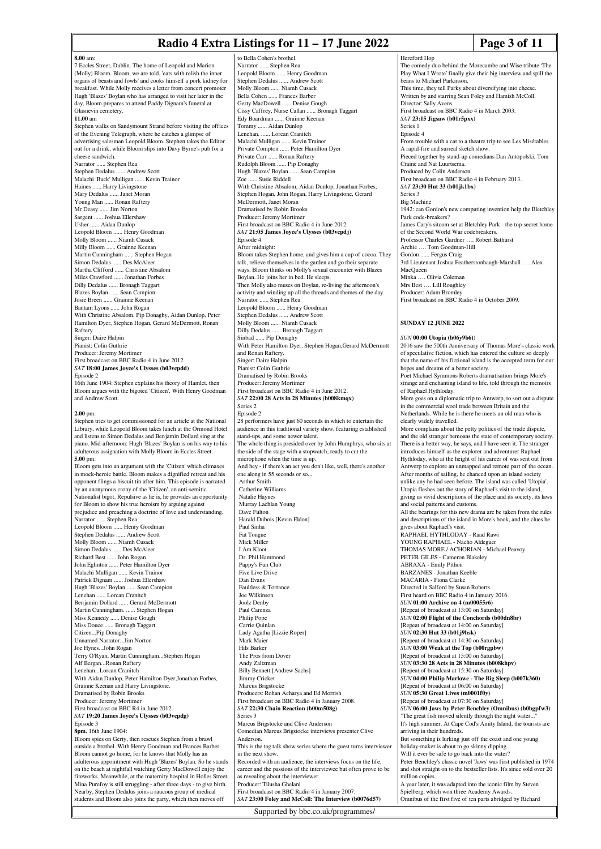### **Radio 4 Extra Listings for 11 – 17 June 2022** Page 3 of 11

The comedy duo behind the Morecambe and Wise tribute 'The Play What I Wrote' finally give their big interview and spill the

From trouble with a cat to a theatre trip to see Les Misérables

Pieced together by stand-up comedians Dan Antopolski, Tom

1942: can Gordon's new computing invention help the Bletchley

James Cary's sitcom set at Bletchley Park - the top-secret home

3rd Lieutenant Joshua Featherstonhaugh-Marshall …. Alex

First broadcast on BBC Radio 4 in October 2009.

This time, they tell Parky about diversifying into cheese. Written by and starring Sean Foley and Hamish McColl.

First broadcast on BBC Radio 4 in March 2003.

First broadcast on BBC Radio 4 in February 2013.

Hereford Hop

beans to Michael Parkinson

*SAT* **23:15 Jigsaw (b01r5pxx)**

A rapid-fire and surreal sketch show.

Craine and Nat Luurtsema. Produced by Colin Anderson.

Park code-breakers?

*SAT* **23:30 Hut 33 (b01jk1bx)**

Archie …. Tom Goodman-Hill Gordon ...... Fergus Craig

Minka …. Olivia Coleman Mrs Best …. Lill Roughley Producer: Adam Bromley

**SUNDAY 12 JUNE 2022**

of the Second World War codebreakers. Professor Charles Gardner …. Robert Bathurst

Director: Sally Avens

Series 1 Episode 4

Series 3 Big Machine

MacQueen

|                                                                                                                                   | Naulo 4 Extra Eistings for $11 - 17$ June 20                                                                            |
|-----------------------------------------------------------------------------------------------------------------------------------|-------------------------------------------------------------------------------------------------------------------------|
| $8.00$ am:                                                                                                                        | to Bella Cohen's brothel.                                                                                               |
| 7 Eccles Street, Dublin. The home of Leopold and Marion                                                                           | Narrator  Stephen Rea                                                                                                   |
| (Molly) Bloom. Bloom, we are told, 'eats with relish the inner<br>organs of beasts and fowls' and cooks himself a pork kidney for | Leopold Bloom  Henry Goodman<br>Stephen Dedalus  Andrew Scott                                                           |
| breakfast. While Molly receives a letter from concert promoter                                                                    | Molly Bloom  Niamh Cusack                                                                                               |
| Hugh 'Blazes' Boylan who has arranged to visit her later in the<br>day, Bloom prepares to attend Paddy Dignam's funeral at        | Bella Cohen  Frances Barber<br>Gerty MacDowell  Denise Gough                                                            |
| Glasnevin cemetery.                                                                                                               | Cissy Caffrey, Nurse Callan  Bronagh Taggart                                                                            |
| $11.00 \text{ am}$<br>Stephen walks on Sandymount Strand before visiting the offices                                              | Edy Boardman  Grainne Keenan<br>Tommy  Aidan Dunlop                                                                     |
| of the Evening Telegraph, where he catches a glimpse of                                                                           | Lenehan.  Lorcan Cranitch                                                                                               |
| advertising salesman Leopold Bloom. Stephen takes the Editor                                                                      | Malachi Mulligan  Kevin Trainor                                                                                         |
| out for a drink, while Bloom slips into Davy Byrne's pub for a<br>cheese sandwich.                                                | Private Compton  Peter Hamilton Dyer<br>Private Carr  Ronan Raftery                                                     |
| Narrator  Stephen Rea                                                                                                             | Rudolph Bloom  Pip Donaghy                                                                                              |
| Stephen Dedalus  Andrew Scott<br>Malachi 'Buck' Mulligan  Kevin Trainor                                                           | Hugh 'Blazes' Boylan  Sean Campion<br>Zoe  Susie Riddell                                                                |
| Haines  Harry Livingstone                                                                                                         | With Christine Absalom, Aidan Dunlop, Jonathan Forbes                                                                   |
| Mary Dedalus  Janet Moran                                                                                                         | Stephen Hogan, John Rogan, Harry Livingstone, Gerard                                                                    |
| Young Man  Ronan Raftery<br>Mr Deasy  Jim Norton                                                                                  | McDermott, Janet Moran<br>Dramatised by Robin Brooks                                                                    |
| Sargent  Joshua Ellershaw                                                                                                         | Producer: Jeremy Mortimer                                                                                               |
| Usher  Aidan Dunlop<br>Leopold Bloom  Henry Goodman                                                                               | First broadcast on BBC Radio 4 in June 2012.<br>SAT 21:05 James Joyce's Ulysses (b03vcpdj)                              |
| Molly Bloom  Niamh Cusack                                                                                                         | Episode 4                                                                                                               |
| Milly Bloom  Grainne Keenan                                                                                                       | After midnight:                                                                                                         |
| Martin Cunningham  Stephen Hogan<br>Simon Dedalus  Des McAleer                                                                    | Bloom takes Stephen home, and gives him a cup of cocoa<br>talk, relieve themselves in the garden and go their separat   |
| Martha Clifford  Christine Absalom                                                                                                | ways. Bloom thinks on Molly's sexual encounter with Bla                                                                 |
| Miles Crawford  Jonathan Forbes                                                                                                   | Boylan. He joins her in bed. He sleeps.                                                                                 |
| Dilly Dedalus  Bronagh Taggart<br>Blazes Boylan  Sean Campion                                                                     | Then Molly also muses on Boylan, re-living the afternoon<br>activity and winding up all the threads and themes of the   |
| Josie Breen  Grainne Keenan                                                                                                       | Narrator  Stephen Rea                                                                                                   |
| Bantam Lyons  John Rogan<br>With Christine Absalom, Pip Donaghy, Aidan Dunlop, Peter                                              | Leopold Bloom  Henry Goodman<br>Stephen Dedalus  Andrew Scott                                                           |
| Hamilton Dyer, Stephen Hogan, Gerard McDermott, Ronan                                                                             | Molly Bloom  Niamh Cusack                                                                                               |
| Raftery                                                                                                                           | Dilly Dedalus  Bronagh Taggart                                                                                          |
| Singer: Daire Halpin<br>Pianist: Colin Guthrie                                                                                    | Sinbad  Pip Donaghy<br>With Peter Hamilton Dyer, Stephen Hogan, Gerard McDe                                             |
| Producer: Jeremy Mortimer                                                                                                         | and Ronan Raftery.                                                                                                      |
| First broadcast on BBC Radio 4 in June 2012.<br>SAT 18:00 James Joyce's Ulysses (b03vcpdd)                                        | Singer: Daire Halpin<br>Pianist: Colin Guthrie                                                                          |
| Episode 2                                                                                                                         | Dramatised by Robin Brooks                                                                                              |
| 16th June 1904: Stephen explains his theory of Hamlet, then                                                                       | Producer: Jeremy Mortimer                                                                                               |
| Bloom argues with the bigoted 'Citizen'. With Henry Goodman<br>and Andrew Scott.                                                  | First broadcast on BBC Radio 4 in June 2012.<br>SAT 22:00 28 Acts in 28 Minutes (b008kmqx)                              |
|                                                                                                                                   | Series <sub>2</sub>                                                                                                     |
| $2.00$ pm:<br>Stephen tries to get commissioned for an article at the National                                                    | Episode 2<br>28 performers have just 60 seconds in which to entertain                                                   |
| Library, while Leopold Bloom takes lunch at the Ormond Hotel                                                                      | audience in this traditional variety show, featuring establi                                                            |
| and listens to Simon Dedalus and Benjamin Dollard sing at the                                                                     | stand-ups, and some newer talent.                                                                                       |
| piano. Mid-afternoon: Hugh 'Blazes' Boylan is on his way to his<br>adulterous assignation with Molly Bloom in Eccles Street.      | The whole thing is presided over by John Humphrys, who<br>the side of the stage with a stopwatch, ready to cut the      |
| $5.00$ pm:                                                                                                                        | microphone when the time is up.                                                                                         |
| Bloom gets into an argument with the 'Citizen' which climaxes<br>in mock-heroic battle. Bloom makes a dignified retreat and his   | And hey - if there's an act you don't like, well, there's and<br>one along in 55 seconds or so                          |
| opponent flings a biscuit tin after him. This episode is narrated                                                                 | <b>Arthur Smith</b>                                                                                                     |
| by an anonymous crony of the 'Citizen', an anti-semitic                                                                           | Catherine Williams                                                                                                      |
| Nationalist bigot. Repulsive as he is, he provides an opportunity<br>for Bloom to show his true heroism by arguing against        | Natalie Haynes<br>Murray Lachlan Young                                                                                  |
| prejudice and preaching a doctrine of love and understanding.                                                                     | Dave Fulton                                                                                                             |
| Narrator  Stephen Rea<br>Leopold Bloom  Henry Goodman                                                                             | Harald Dubois [Kevin Eldon]<br>Paul Sinha                                                                               |
| Stephen Dedalus  Andrew Scott                                                                                                     | Fat Tongue                                                                                                              |
| Molly Bloom  Niamh Cusack                                                                                                         | Mick Miller                                                                                                             |
| Simon Dedalus  Des McAleer<br>Richard Best  John Rogan                                                                            | I Am Kloot<br>Dr. Phil Hammond                                                                                          |
| John Eglinton  Peter Hamilton Dyer                                                                                                | Pappy's Fun Club                                                                                                        |
| Malachi Mulligan  Kevin Trainor<br>Patrick Dignam  Joshua Ellershaw                                                               | Five Live Drive<br>Dan Evans                                                                                            |
| Hugh 'Blazes' Boylan  Sean Campion                                                                                                | Faultless & Torrance                                                                                                    |
| Lenehan  Lorcan Cranitch                                                                                                          | Joe Wilkinson                                                                                                           |
| Benjamin Dollard  Gerard McDermott<br>Martin Cunningham.  Stephen Hogan                                                           | Joolz Denby<br>Paul Carenza                                                                                             |
| Miss Kennedy  Denise Gough                                                                                                        | Philip Pope                                                                                                             |
| Miss Douce  Bronagh Taggart<br>CitizenPip Donaghy                                                                                 | Carrie Quinlan<br>Lady Agatha [Lizzie Roper]                                                                            |
| Unnamed NarratorJim Norton                                                                                                        | Mark Maier                                                                                                              |
| Joe HynesJohn Rogan                                                                                                               | Hils Barker                                                                                                             |
| Terry O'Ryan, Martin CunninghamStephen Hogan<br>Alf BerganRonan Raftery                                                           | The Pros from Dover<br>Andy Zaltzman                                                                                    |
| LenehanLorcan Cranitch                                                                                                            | <b>Billy Bennett</b> [Andrew Sachs]                                                                                     |
| With Aidan Dunlop, Peter Hamilton Dyer, Jonathan Forbes,<br>Grainne Keenan and Harry Livingstone.                                 | Jimmy Cricket<br>Marcus Brigstocke                                                                                      |
| Dramatised by Robin Brooks                                                                                                        | Producers: Rohan Acharya and Ed Morrish                                                                                 |
| Producer: Jeremy Mortimer                                                                                                         | First broadcast on BBC Radio 4 in January 2008.                                                                         |
| First broadcast on BBC R4 in June 2012.<br>SAT 19:20 James Joyce's Ulysses (b03vcpdg)                                             | SAT 22:30 Chain Reaction (b00m508g)<br>Series 3                                                                         |
| Episode 3                                                                                                                         | Marcus Brigstocke and Clive Anderson                                                                                    |
| 8pm, 16th June 1904:                                                                                                              | Comedian Marcus Brigstocke interviews presenter Clive                                                                   |
| Bloom spies on Gerty, then rescues Stephen from a brawl<br>outside a brothel. With Henry Goodman and Frances Barber.              | Anderson.<br>This is the tag talk show series where the guest turns inter                                               |
| Bloom cannot go home, for he knows that Molly has an                                                                              | in the next show.                                                                                                       |
| adulterous appointment with Hugh 'Blazes' Boylan. So he stands<br>on the beach at nightfall watching Gerty MacDowell enjoy the    | Recorded with an audience, the interviews focus on the li<br>career and the passions of the interviewee but often prove |
| fireworks. Meanwhile, at the maternity hospital in Holles Street,                                                                 | as revealing about the interviewer.                                                                                     |
| Mina Purefoy is still struggling - after three days - to give birth.<br>Nearby, Stephen Dedalus joins a raucous group of medical  | Producer: Tilusha Ghelani                                                                                               |
| students and Bloom also joins the party, which then moves off                                                                     | First broadcast on BBC Radio 4 in January 2007.<br>SAT 23:00 Foley and McColl: The Interview (b0076d5                   |
|                                                                                                                                   | Supported by bbc.co.uk/programmes/                                                                                      |
|                                                                                                                                   |                                                                                                                         |

ohen's brothel .. Stephen Rea Rediction Community<br>
Bloom ...... Henry Goodman<br>
Blood Bloom Scott .. Andrew Scott om ...... Niamh Cusack ... Frances Barber Dowell ...... Denise Gough Frey, Nurse Callan ...... Bronagh Taggart Iman ...... Grainne Keenan ... Aidan Dunlop .. Lorcan Cranitch Iulligan ...... Kevin Trainor **Private Compton ......** Peter Hamilton Dyer Irr ...... Ronan Raftery Frances Communications<br>Rudolph Rudolph Bloom Bloom Communications .. Sean Campion usie Riddell stine Absalom, Aidan Dunlop, Jonathan Forbes, ogan, John Rogan, Harry Livingstone, Gerard tt, Janet Moran d by Robin Brooks Jeremy Mortimer  $\frac{5}{1}$  Figure 2012. *SAT* **21:05 James Joyce's Ulysses (b03vcpdj)** hight: es Stephen home, and gives him a cup of cocoa. They the themselves in the garden and go their separate ways thinks on Molly's sexual encounter with Blazes e joins her in bed. He sleeps.  $\alpha$  also muses on Boylan, re-living the afternoon's d winding up all the threads and themes of the day. ... Stephen Rea loom ...... Henry Goodman edalus ...... Andrew Scott om ...... Niamh Cusack nn<br>alus ...... Bronagh Taggart .. Pip Donaghy Hamilton Dyer, Stephen Hogan,Gerard McDermott Raftery. ire Halpin nne Frangers<br>plin Guthrie d by Robin Brooks Jeremy Mortimer First broadcast on BBC Radio 4 in June 2012. *SAT* **22:00 28 Acts in 28 Minutes (b008kmqx)** ners have just 60 seconds in which to entertain the n this traditional variety show, featuring established and some newer talent. thing is presided over by John Humphrys, who sits at the stage with a stopwatch, ready to cut the  $\frac{1}{\pi}$  when the time is up. if there's an act you don't like, well, there's another in 55 seconds or so. nith nn<br>Williams Natalie Haynes Murray Lachlan Young Dave Fulton ubois [Kevin Eldon] Paul Sinha Fat Tongue Mick Miller I Am Kloot lammond  $\mathbf{m}$  Club Drive Dan Evans & Torrance nson iby .<br>Pa  $n \rho$ .<br>unlan tha [Lizzie Roper]  $_{\rm i}^{\rm in}$  Hils Barker from Dover tzman nett [Andrew Sachs] icket<br>. rigstocke Rohan Acharya and Ed Morrish Icast on BBC Radio 4 in January 2008. *SAT* **22:30 Chain Reaction (b00m508g)** igstocke and Clive Anderson Marcus Brigstocke interviews presenter Clive tag talk show series where the guest turns interviewer show. with an audience, the interviews focus on the life, the passions of the interviewee but often prove to be  $\frac{1}{2}$  about the interviewer. Tilusha Ghelani Icast on BBC Radio 4 in January 2007. **Foley and McColl: The Interview (b0076d57)** 

*SUN* **00:00 Utopia (b06y9b6t)** 2016 saw the 500th Anniversary of Thomas More's classic work of speculative fiction, which has entered the culture so deeply that the name of his fictional island is the accepted term for our hopes and dreams of a better society. Poet Michael Symmons Roberts dramatisation brings More's strange and enchanting island to life, told through the memoirs of Raphael Hythloday. More goes on a diplomatic trip to Antwerp, to sort out a dispute in the commercial wool trade between Britain and the Netherlands. While he is there he meets an old man who is clearly widely travelled. More complains about the petty politics of the trade dispute, and the old stranger bemoans the state of contemporary society. There is a better way, he says, and I have seen it. The stranger introduces himself as the explorer and adventurer Raphael Hythloday, who at the height of his career of was sent out from Antwerp to explore an unmapped and remote part of the ocean. After months of sailing, he chanced upon an island society unlike any he had seen before. The island was called 'Utopia'. Utopia fleshes out the story of Raphael's visit to the island, giving us vivid descriptions of the place and its society, its laws and social patterns and customs. All the bearings for this new drama are be taken from the rules and descriptions of the island in More's book, and the clues he gives about Raphael's visit. RAPHAEL HYTHLODAY - Raad Rawi YOUNG RAPHAEL - Nacho Aldeguer THOMAS MORE / ACHORIAN - Michael Peavoy PETER GILES - Cameron Blakeley ABRAXA - Emily Pithon BARZANES - Jonathan Keeble MACARIA - Fiona Clarke Directed in Salford by Susan Roberts. First heard on BBC Radio 4 in January 2016. *SUN* **01:00 Archive on 4 (m00055r6)** [Repeat of broadcast at 13:00 on Saturday] *SUN* **02:00 Flight of the Conchords (b00dn8br)** [Repeat of broadcast at 14:00 on Saturday] *SUN* **02:30 Hut 33 (b01j9hsk)** [Repeat of broadcast at 14:30 on Saturday] *SUN* **03:00 Weak at the Top (b00rgpbw)** [Repeat of broadcast at 15:00 on Saturday] *SUN* **03:30 28 Acts in 28 Minutes (b008khpv)** [Repeat of broadcast at 15:30 on Saturday] *SUN* **04:00 Philip Marlowe - The Big Sleep (b007k360)** [Repeat of broadcast at 06:00 on Saturday] *SUN* **05:30 Great Lives (m0001f0y)** [Repeat of broadcast at 07:30 on Saturday] *SUN* **06:00 Jaws by Peter Benchley (Omnibus) (b0bgpfw3)** "The great fish moved silently through the night water. It's high summer. At Cape Cod's Amity Island, the tourists are arriving in their hundreds. But something is lurking just off the coast and one young holiday-maker is about to go skinny dipping. Will it ever be safe to go back into the water? Peter Benchley's classic novel 'Jaws' was first published in 1974 and shot straight on to the bestseller lists. It's since sold over 20 million copies. A year later, it was adapted into the iconic film by Steven Spielberg, which won three Academy Awards. Omnibus of the first five of ten parts abridged by Richard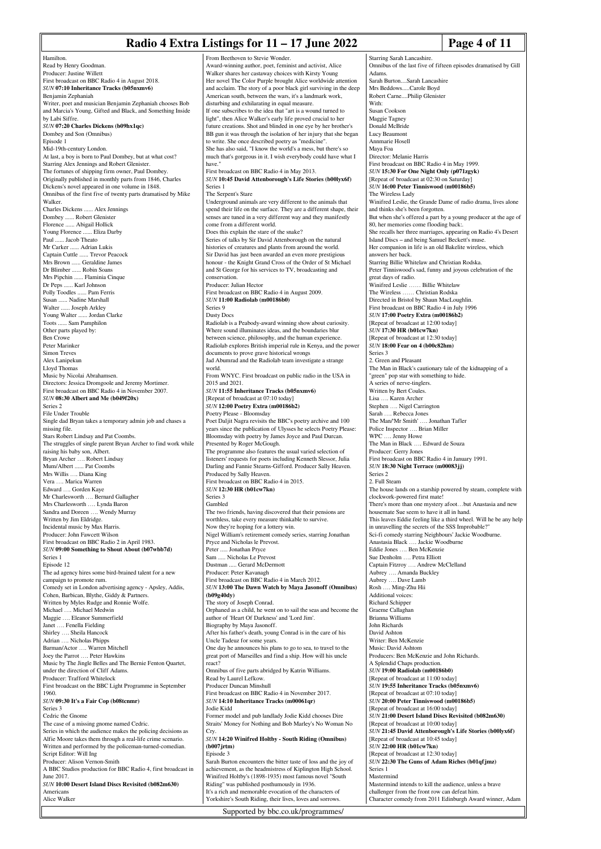### **Radio 4 Extra Listings for 11 – 17 June 2022** Page 4 of 11

Hamilton. Read by Henry Goodman. Producer: Justine Willett First broadcast on BBC Radio 4 in August 2018. *SUN* **07:10 Inheritance Tracks (b05nxmv6)** Benjamin Zephaniah Writer, poet and musician Benjamin Zephaniah chooses Bob and Marcia's Young, Gifted and Black, and Something Inside by Labi Siffre. *SUN* **07:20 Charles Dickens (b09hx1qc)** Dombey and Son (Omnibus) Episode 1 Mid-19th-century London. At last, a boy is born to Paul Dombey, but at what cost? Starring Alex Jennings and Robert Glenister. The fortunes of shipping firm owner, Paul Dombey. Originally published in monthly parts from 1846, Charles Dickens's novel appeared in one volume in 1848. Omnibus of the first five of twenty parts dramatised by Mike Walker. Charles Dickens ...... Alex Jennings Dombey ...... Robert Gleniste Florence ...... Abigail Hollick Young Florence ...... Eliza Darby Paul ...... Jacob Theato Mr Carker ...... Adrian Lukis Captain Cuttle ...... Trevor Peacock Mrs Brown ...... Geraldine James Dr Blimber ...... Robin Soans Mrs Pipchin ...... Flaminia Cinque Dr Peps ...... Karl Johnson Polly Toodles ...... Pam Ferris Susan ...... Nadine Marshall Walter ...... Joseph Arkley Young Walter ...... Jordan Clarke Toots ...... Sam Pamphilon Other parts played by: Ben Crowe Peter Marinker Simon Treves Alex Lanipekun Lloyd Thomas Music by Nicolai Abrahamsen. Directors: Jessica Dromgoole and Jeremy Mortimer. First broadcast on BBC Radio 4 in November 2007. *SUN* **08:30 Albert and Me (b049f20x)** Series 2 File Under Trouble Single dad Bryan takes a temporary admin job and chases a missing file. Stars Robert Lindsay and Pat Coombs. The struggles of single parent Bryan Archer to find work while raising his baby son, Albert. Bryan Archer …. Robert Lindsay Mum/Albert ...... Pat Coombs Mrs Willis …. Diana King Vera …. Marica Warren Edward …. Gorden Kaye Mr Charlesworth …. Bernard Gallagher Mrs Charlesworth …. Lynda Baron Sandra and Doreen …. Wendy Murray Written by Jim Eldridge. Incidental music by Max Harris. Producer: John Fawcett Wilson First broadcast on BBC Radio 2 in April 1983. *SUN* **09:00 Something to Shout About (b07wbb7d)** Series 1 Episode 12 The ad agency hires some bird-brained talent for a new campaign to promote rum. Comedy set in London advertising agency - Apsley, Addis, Cohen, Barbican, Blythe, Giddy & Partners. Written by Myles Rudge and Ronnie Wolfe. Michael …. Michael Medwin Maggie …. Eleanor Summerfield Janet .... Fenella Fielding Shirley …. Sheila Hancock Adrian …. Nicholas Phipps Barman/Actor …. Warren Mitchell Joey the Parrot …. Peter Hawkins Music by The Jingle Belles and The Bernie Fenton Quartet, under the direction of Cliff Adams. Producer: Trafford Whitelock First broadcast on the BBC Light Programme in September 1960. *SUN* **09:30 It's a Fair Cop (b08tcnmr)** Series 3 Cedric the Gnome The case of a missing gnome named Cedric. Series in which the audience makes the policing decisions as Alfie Moore takes them through a real-life crime scenario. Written and performed by the policeman-turned-comedian. Script Editor: Will Ing

Producer: Alison Vernon-Smith

A BBC Studios production for BBC Radio 4, first broadcast in June 2017. *SUN* **10:00 Desert Island Discs Revisited (b082m630)**

**America** Alice Walker From Beethoven to Stevie Wonder. Award-winning author, poet, feminist and activist, Alice Walker shares her castaway choices with Kirsty Young Her novel The Color Purple brought Alice worldwide attention and acclaim. The story of a poor black girl surviving in the deep American south, between the wars, it's a landmark work, disturbing and exhilarating in equal measure. If one subscribes to the idea that "art is a wound turned to light", then Alice Walker's early life proved crucial to her future creations. Shot and blinded in one eye by her brother's BB gun it was through the isolation of her injury that she began to write. She once described poetry as "medicine". She has also said, "I know the world's a mess, but there's so much that's gorgeous in it. I wish everybody could have what I have First broadcast on BBC Radio 4 in May 2013. *SUN* **10:45 David Attenborough's Life Stories (b00lyx6f)** Series 1 The Serpent's Stare Underground animals are very different to the animals that spend their life on the surface. They are a different shape, their senses are tuned in a very different way and they manifestly come from a different world. Does this explain the stare of the snake? Series of talks by Sir David Attenborough on the natural histories of creatures and plants from around the world. Sir David has just been awarded an even more prestigious honour - the Knight Grand Cross of the Order of St Michael and St George for his services to TV, broadcasting and conservation. Producer: Julian Hector First broadcast on BBC Radio 4 in August 2009. *SUN* **11:00 Radiolab (m00186b0)** Series 9 Dusty Docs Radiolab is a Peabody-award winning show about curiosity. Where sound illuminates ideas, and the boundaries blur between science, philosophy, and the human experience. Radiolab explores British imperial rule in Kenya, and the power documents to prove grave historical wrongs Jad Abumrad and the Radiolab team investigate a strange world. From WNYC. First broadcast on public radio in the USA in 2015 and 2021. *SUN* **11:55 Inheritance Tracks (b05nxmv6)** [Repeat of broadcast at 07:10 today] *SUN* **12:00 Poetry Extra (m00186b2)** Poetry Please - Bloomsday Poet Daljit Nagra revisits the BBC's poetry archive and 100 years since the publication of Ulysses he selects Poetry Please: Bloomsday with poetry by James Joyce and Paul Durcan. Presented by Roger McGough. The programme also features the usual varied selection of listeners' requests for poets including Kenneth Slessor, Julia Darling and Fannie Stearns-Gifford. Producer Sally Heaven. Produced by Sally Heaven. First broadcast on BBC Radio 4 in 2015. *SUN* **12:30 HR (b01cw7kn)** Series 3 Gambled The two friends, having discovered that their pensions are worthless, take every measure thinkable to survive. Now they're hoping for a lottery win. Nigel William's retirement comedy series, starring Jonathan Pryce and Nicholas le Prevost. Peter ..... Jonathan Pryce Sam ..... Nicholas Le Prevos Dustman ..... Gerard McDermott Producer: Peter Kavanagh First broadcast on BBC Radio 4 in March 2012. *SUN* **13:00 The Dawn Watch by Maya Jasonoff (Omnibus) (b09g40dy)** The story of Joseph Conrad. Orphaned as a child, he went on to sail the seas and become the author of 'Heart Of Darkness' and 'Lord Jim'. Biography by Maya Jasonoff. After his father's death, young Conrad is in the care of his Uncle Tadeuz for some years. One day he announces his plans to go to sea, to travel to the great port of Marseilles and find a ship. How will his uncle react? Omnibus of five parts abridged by Katrin Williams. Read by Laurel Lefkow. Producer Duncan Minshull First broadcast on BBC Radio 4 in November 2017. *SUN* **14:10 Inheritance Tracks (m00061qr)** Jodie Kidd Former model and pub landlady Jodie Kidd chooses Dire Straits' Money for Nothing and Bob Marley's No Woman No Cry. *SUN* **14:20 Winifred Holtby - South Riding (Omnibus) (b007jrtm)** Episode 3 Sarah Burton encounters the bitter taste of loss and the joy of achievement, as the headmistress of Kiplington High School. Winifred Holtby's (1898-1935) most famous novel "South Riding" was published posthumously in 1936. It's a rich and memorable evocation of the characters of

Yorkshire's South Riding, their lives, loves and sorrows.

Supported by bbc.co.uk/programmes/

# Omnibus of the last five of fifteen episodes dramatised by Gill Sarah Burton....Sarah Lancashire

Starring Sarah Lancashire.

Mrs Beddows.....Carole Boyd

Adams.

Robert Carne....Philip Glen With: Susan Cookson Maggie Tagney Donald McBride Lucy Beaumont Annmarie Hosell Maya Foa Director: Melanie Harris First broadcast on BBC Radio 4 in May 1999. *SUN* **15:30 For One Night Only (p071zgyk)** [Repeat of broadcast at 02:30 on Saturday] *SUN* **16:00 Peter Tinniswood (m00186b5)** The Wireless Lady Winifred Leslie, the Grande Dame of radio drama, lives alone and thinks she's been forgotten. But when she's offered a part by a young producer at the age of 80, her memories come flooding back:. She recalls her three marriages, appearing on Radio 4's Desert Island Discs – and being Samuel Beckett's muse. Her companion in life is an old Bakelite wireless, which answers her back. Starring Billie Whitelaw and Christian Rodska. Peter Tinniswood's sad, funny and joyous celebration of the great days of radio. Winifred Leslie …… Billie Whitelaw The Wireless …… Christian Rodska Directed in Bristol by Shaun MacLoughlin. First broadcast on BBC Radio 4 in July 1996 *SUN* **17:00 Poetry Extra (m00186b2)** [Repeat of broadcast at 12:00 today] *SUN* **17:30 HR (b01cw7kn)** [Repeat of broadcast at 12:30 today] *SUN* **18:00 Fear on 4 (b00c82hm)** Series 3 2. Green and Pleasant The Man in Black's cautionary tale of the kidnapping of a "green" pop star with something to hide. A series of nerve-tinglers. Written by Bert Coules. Lisa …. Karen Archer Stephen …. Nigel Carrington Sarah …. Rebecca Jones The Man/'Mr Smith' …. Jonathan Tafler Police Inspector …. Brian Miller WPC …. Jenny Howe The Man in Black …. Edward de Souza Producer: Gerry Jones First broadcast on BBC Radio 4 in January 1991. *SUN* **18:30 Night Terrace (m00083jj)** Series 2 2. Full Steam The house lands on a starship powered by steam, complete with clockwork-powered first mate! There's more than one mystery afoot...but Anastasia and new housemate Sue seem to have it all in hand. This leaves Eddie feeling like a third wheel. Will he be any help in unravelling the secrets of the SSS Improbable?" Sci-fi comedy starring Neighbours' Jackie Woodburne. Anastasia Black …. Jackie Woodburne Eddie Jones …. Ben McKenzie Sue Denholm …. Petra Elliott Captain Fitzroy …. Andrew McClelland Aubrey …. Amanda Buckley Aubrey …. Dave Lamb Rosh …. Ming-Zhu Hii Additional voices: Richard Schipper Graeme Callaghan Brianna Williams John Richards David Ashton Writer: Ben McKenzie Music: David Ashtom Producers: Ben McKenzie and John Richards. A Splendid Chaps production. *SUN* **19:00 Radiolab (m00186b0)** [Repeat of broadcast at 11:00 today] *SUN* **19:55 Inheritance Tracks (b05nxmv6)** [Repeat of broadcast at 07:10 today] *SUN* **20:00 Peter Tinniswood (m00186b5)** [Repeat of broadcast at 16:00 today] *SUN* **21:00 Desert Island Discs Revisited (b082m630)** [Repeat of broadcast at 10:00 today] *SUN* **21:45 David Attenborough's Life Stories (b00lyx6f)** [Repeat of broadcast at 10:45 today] *SUN* **22:00 HR (b01cw7kn)** [Repeat of broadcast at 12:30 today] *SUN* **22:30 The Guns of Adam Riches (b01qfjmz)** Series 1 Mastermind Mastermind intends to kill the audience, unless a brave challenger from the front row can defeat him. Character comedy from 2011 Edinburgh Award winner, Adam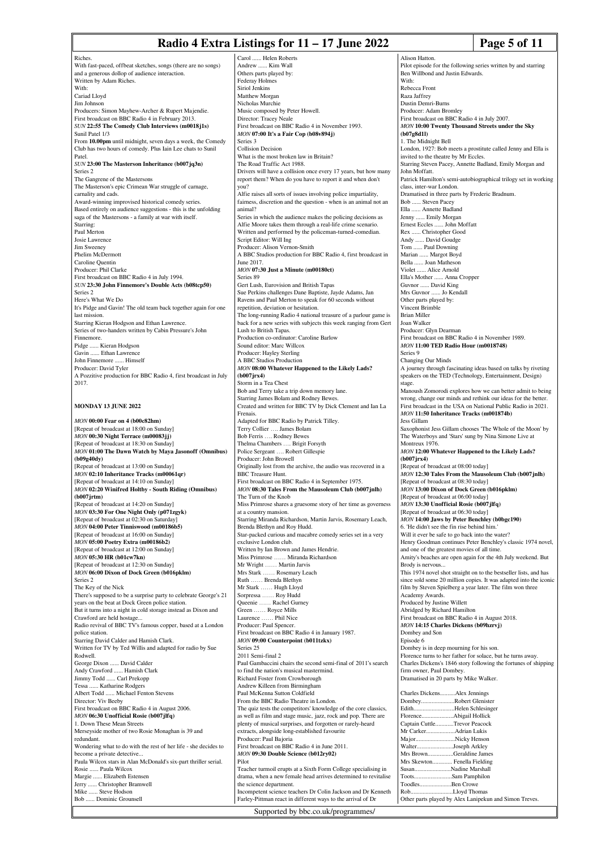#### **Radio 4 Extra Listings for 11 – 17 June 2022** Page 5 of 11

Pilot episode for the following series written by and starring

Alison Hatton.

With: Rebecca Front

Ben Willbond and Justin Edwards.

Riches. With fast-paced, of fbeat sketches, songs (there are no songs) and a generous dollop of audience interaction. Written by Adam Riches. With: Cariad Lloyd Jim Johnson Producers: Simon Mayhew-Archer & Rupert Majendie. First broadcast on BBC Radio 4 in February 2013. *SUN* **22:55 The Comedy Club Interviews (m0018j1s)** Sunil Patel 1/3 From **10.00pm** until midnight, seven days a week, the Comedy Club has two hours of comedy. Plus Iain Lee chats to Sunil Patel. *SUN* **23:00 The Masterson Inheritance (b007jq3n)** Series 2 The Gangrene of the Mastersons The Masterson's epic Crimean War struggle of carnage, carnality and cads. Award-winning improvised historical comedy series. Based entirely on audience suggestions - this is the unfolding saga of the Mastersons - a family at war with itself. Starring: Paul Merton Josie Lawrence Jim Sweeney Phelim McDermott Caroline Quentin Producer: Phil Clarke First broadcast on BBC Radio 4 in July 1994. *SUN* **23:30 John Finnemore's Double Acts (b08tcp50)** Series 2 Here's What We Do It's Pidge and Gavin! The old team back together again for one last mission. Starring Kieran Hodgson and Ethan Lawrence. Series of two-handers written by Cabin Pressure's John Finnemore. Pidge ...... Kieran Hodgson Gavin ...... Ethan Lawrence John Finnemore ...... Himself Producer: David Tyler A Pozzitive production for BBC Radio 4, first broadcast in July 2017. **MONDAY 13 JUNE 2022** *MON* **00:00 Fear on 4 (b00c82hm)** [Repeat of broadcast at 18:00 on Sunday] *MON* **00:30 Night Terrace (m00083jj)** [Repeat of broadcast at 18:30 on Sunday] *MON* **01:00 The Dawn Watch by Maya Jasonoff (Omnibus) (b09g40dy)** [Repeat of broadcast at 13:00 on Sunday] *MON* **02:10 Inheritance Tracks (m00061qr)** [Repeat of broadcast at 14:10 on Sunday] *MON* **02:20 Winifred Holtby - South Riding (Omnibus) (b007jrtm)** [Repeat of broadcast at 14:20 on Sunday] *MON* **03:30 For One Night Only (p071zgyk)** [Repeat of broadcast at 02:30 on Saturday] *MON* **04:00 Peter Tinniswood (m00186b5)** [Repeat of broadcast at 16:00 on Sunday] *MON* **05:00 Poetry Extra (m00186b2)** [Repeat of broadcast at 12:00 on Sunday] *MON* **05:30 HR (b01cw7kn)** [Repeat of broadcast at 12:30 on Sunday] *MON* **06:00 Dixon of Dock Green (b016pklm)** Series 2 The Key of the Nick There's supposed to be a surprise party to celebrate George's 21 years on the beat at Dock Green police station. But it turns into a night in cold storage instead as Dixon and Crawford are held hostage. Radio revival of BBC TV's famous copper, based at a London police station. Starring David Calder and Hamish Clark. Written for TV by Ted Willis and adapted for radio by Sue Rodwell. George Dixon ...... David Calder Andy Crawford ...... Hamish Clark Jimmy Todd ...... Carl Prekopp Tessa ...... Katharine Rodgers Albert Todd ...... Michael Fenton Stevens Director: Viv Beeby First broadcast on BBC Radio 4 in August 2006. *MON* **06:30 Unofficial Rosie (b007jlfq)** 1. Down These Mean Streets Merseyside mother of two Rosie Monaghan is 39 and redundant. Wondering what to do with the rest of her life - she decides to become a private detective... Paula Wilcox stars in Alan McDonald's six-part thriller serial. Rosie ...... Paula Wilcox Margie ...... Elizabeth Estensen Jerry ...... Christopher Bramwell<br>Mike Steve Hodson ... Steve Hodson Bob ...... Dominic Grounsell Siriol Jenkins Series 3 you? animal? June 2017. Series 89 **(b007jrx4)** Frenais. Series 25 Pilot Farley-Pittman react in different ways to the arrival of Dr

Carol ..... Helen Roberts Andrew ...... Kim Wall Others parts played by: Federay Holmes Matthew Morgan Nicholas Murchie Music composed by Peter Howell. Director: Tracey Neale First broadcast on BBC Radio 4 in November 1993. *MON* **07:00 It's a Fair Cop (b08v894j)** Collision Decision What is the most broken law in Britain? The Road Traffic Act 1988. Drivers will have a collision once every 17 years, but how many report them? When do you have to report it and when don't Alfie raises all sorts of issues involving police impartiality, fairness, discretion and the question - when is an animal not an Series in which the audience makes the policing decisions as Alfie Moore takes them through a real-life crime scenario. Written and performed by the policeman-turned-comedian. Script Editor: Will Ing Producer: Alison Vernon-Smith A BBC Studios production for BBC Radio 4, first broadcast in *MON* **07:30 Just a Minute (m00180ct)** Gert Lush, Eurovision and British Tapas Sue Perkins challenges Dane Baptiste, Jayde Adams, Jan Ravens and Paul Merton to speak for 60 seconds without repetition, deviation or hesitation. The long-running Radio 4 national treasure of a parlour game is back for a new series with subjects this week ranging from Gert Lush to British Tapas. Production co-ordinator: Caroline Barlow Sound editor: Marc Willcox Producer: Hayley Sterling A BBC Studios Production *MON* **08:00 Whatever Happened to the Likely Lads?** Storm in a Tea Chest Bob and Terry take a trip down memory lane. Starring James Bolam and Rodney Bewe Created and written for BBC TV by Dick Clement and Ian La Adapted for BBC Radio by Patrick Tilley. Terry Collier …. James Bolam Bob Ferris …. Rodney Bewes Thelma Chambers …. Brigit Forsyth Police Sergeant …. Robert Gillespie Producer: John Browell Originally lost from the archive, the audio was recovered in a BBC Treasure Hunt. First broadcast on BBC Radio 4 in September 1975. *MON* **08:30 Tales From the Mausoleum Club (b007jnlh)** The Turn of the Knob Miss Primrose shares a gruesome story of her time as governess at a country mansion. Starring Miranda Richardson, Martin Jarvis, Rosemary Leach, Brenda Blethyn and Roy Hudd. Star-packed curious and macabre comedy series set in a very exclusive London club. Written by Ian Brown and James Hendrie. Miss Primrose …… Miranda Richardson Mr Wright …… Martin Jarvis Mrs Stark …… Rosemary Leach Ruth …… Brenda Blethyn Mr Stark …… Hugh Lloyd Sorpressa …… Roy Hudd Queenie …… Rachel Gurney Green …… Royce Mills Laurence …… Phil Nice Producer: Paul Spencer. First broadcast on BBC Radio 4 in January 1987. *MON* **09:00 Counterpoint (b011tzkx)** 2011 Semi-final 2 Paul Gambaccini chairs the second semi-final of 2011's search to find the nation's musical mastermind. Richard Foster from Crowborough Andrew Killeen from Birmingham Paul McKenna Sutton Coldfield From the BBC Radio Theatre in London. The quiz tests the competitors' knowledge of the core classics. as well as film and stage music, jazz, rock and pop. There are plenty of musical surprises, and forgotten or rarely-heard extracts, alongside long-established favourite Producer: Paul Bajoria First broadcast on BBC Radio 4 in June 2011. *MON* **09:30 Double Science (b012ry02)** Teacher turmoil erupts at a Sixth Form College specialising in drama, when a new female head arrives determined to revitalise the science department. Incompetent science teachers Dr Colin Jackson and Dr Ke

Raza Jaffrey Dustin Demri-Burns Producer: Adam Bromley First broadcast on BBC Radio 4 in July 2007. *MON* **10:00 Twenty Thousand Streets under the Sky (b07g8d1l)** 1. The Midnight Bell London, 1927: Bob meets a prostitute called Jenny and Ella is invited to the theatre by Mr Eccles. Starring Steven Pacey, Annette Badland, Emily Morgan and John Moffatt. Patrick Hamilton's semi-autobiographical trilogy set in working class, inter-war London. Dramatised in three parts by Frederic Bradnum. Bob ...... Steven Pacey Ella ...... Annette Badland Jenny ...... Emily Morgan Ernest Eccles ...... John Moffatt Rex ...... Christopher Good Andy ...... David Goudge Tom ...... Paul Downing Marian ...... Margot Boyd Bella ...... Joan Mathes Violet ...... Alice Arnold Ella's Mother ...... Anna Cropper Guvnor ...... David King Mrs Guvnor ...... Jo Kendall Other parts played by: Vincent Brimble Brian Miller Joan Walker Producer: Glyn Dearman First broadcast on BBC Radio 4 in November 1989. *MON* **11:00 TED Radio Hour (m0018748)** Series 9 Changing Our Minds A journey through fascinating ideas based on talks by riveting speakers on the TED (Technology, Entertainment, Design) stage. Manoush Zomorodi explores how we can better admit to being wrong, change our minds and rethink our ideas for the better. First broadcast in the USA on National Public Radio in 2021. *MON* **11:50 Inheritance Tracks (m001874b)** Jess Gillam Saxophonist Jess Gillam chooses 'The Whole of the Moon' by The Waterboys and 'Stars' sung by Nina Simone Live at Montreux 1976. *MON* **12:00 Whatever Happened to the Likely Lads? (b007jrx4)** [Repeat of broadcast at 08:00 today] *MON* **12:30 Tales From the Mausoleum Club (b007jnlh)** [Repeat of broadcast at 08:30 today] *MON* **13:00 Dixon of Dock Green (b016pklm)** [Repeat of broadcast at 06:00 today] *MON* **13:30 Unofficial Rosie (b007jlfq)** [Repeat of broadcast at 06:30 today] *MON* **14:00 Jaws by Peter Benchley (b0bgc190)** 6. 'He didn't see the fin rise behind him.' Will it ever be safe to go back into the water? Henry Goodman continues Peter Benchley's classic 1974 novel, and one of the greatest movies of all time. Amity's beaches are open again for the 4th July weekend. But Brody is nervous... This 1974 novel shot straight on to the bestseller lists, and has since sold some 20 million copies. It was adapted into the iconic film by Steven Spielberg a year later. The film won three Academy Awards. Produced by Justine Willett Abridged by Richard Hamilton First broadcast on BBC Radio 4 in August 2018. *MON* **14:15 Charles Dickens (b09hzrvj)** Dombey and Son Episode 6 Dombey is in deep mourning for his son. Florence turns to her father for solace, but he turns away. Charles Dickens's 1846 story following the fortunes of shipping firm owner, Paul Dombey. Dramatised in 20 parts by Mike Walker. Charles Dickens........<br>Dombey................... .......Robert Glenister Edith............................Helen Schlesinger<br>Florence......................Abigail Hollick .<br>Abigail Hollick Captain Cuttle............Trevor Peacock Mr Carker...................Adrian Lukis Major..........................Nicky Henson Walter........................Joseph Arkley Mrs Brown.................Geraldine James<br>Mrs Skewton............. Fenella Fielding Mrs Skewton............. Fenella Fielding Nadine Marshall Toots.........................Sam Pamphilon Ben Crowe Rob............................Lloyd Thomas Other parts played by Alex Lanipekun and Simon Treves.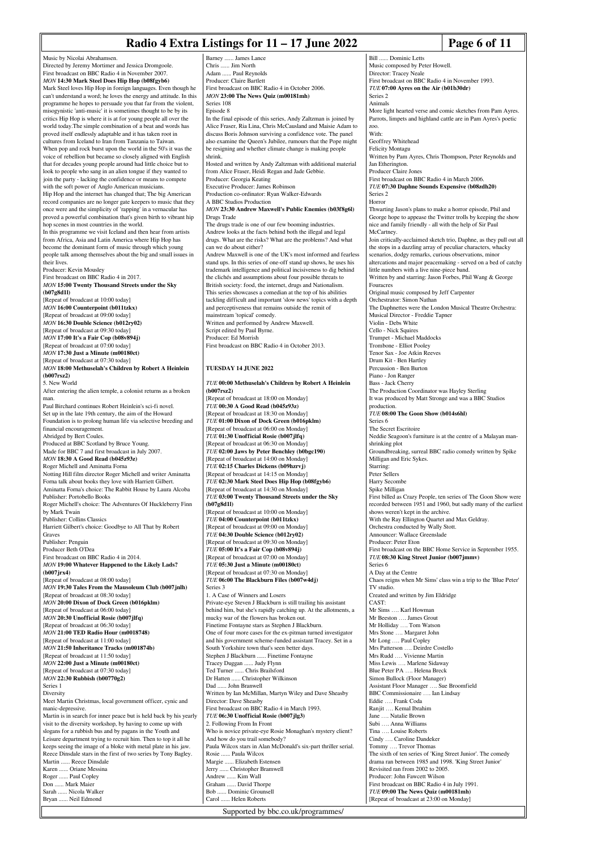#### **Radio 4 Extra Listings for 11 – 17 June 2022** Page 6 of 11

Music by Nicolai Abrahamsen. Directed by Jeremy Mortimer and Jessica Dromgoole. First broadcast on BBC Radio 4 in November 2007. *MON* **14:30 Mark Steel Does Hip Hop (b08fgyb6)** Mark Steel loves Hip Hop in foreign languages. Even though he can't understand a word; he loves the energy and attitude. In this programme he hopes to persuade you that far from the violent, misogynistic 'anti-music' it is sometimes thought to be by its critics Hip Hop is where it is at for young people all over the world today.The simple combination of a beat and words has proved itself endlessly adaptable and it has taken root in cultures from Iceland to Iran from Tanzania to Taiwan. When pop and rock burst upon the world in the 50's it was the voice of rebellion but became so closely aligned with English that for decades young people around had little choice but to look to people who sang in an alien tongue if they wanted to join the party - lacking the confidence or means to compete with the soft power of Anglo American musicians. Hip Hop and the internet has changed that; The big American record companies are no longer gate keepers to music that they once were and the simplicity of 'rapping' in a vernacular has proved a powerful combination that's given birth to vibrant hip hop scenes in most countries in the world. In this programme we visit Iceland and then hear from artists from Africa, Asia and Latin America where Hip Hop has become the dominant form of music through which young people talk among themselves about the big and small issues in their lives. Producer: Kevin Mousley First broadcast on BBC Radio 4 in 2017. *MON* **15:00 Twenty Thousand Streets under the Sky (b07g8d1l)** [Repeat of broadcast at 10:00 today] *MON* **16:00 Counterpoint (b011tzkx)** [Repeat of broadcast at 09:00 today] *MON* **16:30 Double Science (b012ry02)** [Repeat of broadcast at 09:30 today] *MON* **17:00 It's a Fair Cop (b08v894j)** [Repeat of broadcast at 07:00 today] *MON* **17:30 Just a Minute (m00180ct)** [Repeat of broadcast at 07:30 today] *MON* **18:00 Methuselah's Children by Robert A Heinlein (b007rsz2)** 5. New World After entering the alien temple, a colonist returns as a broken man. Paul Birchard continues Robert Heinlein's sci-fi novel. Set up in the late 19th century, the aim of the Howard Foundation is to prolong human life via selective breeding and financial encouragement. Abridged by Bert Coules. Produced at BBC Scotland by Bruce Young. Made for BBC 7 and first broadcast in July 2007. *MON* **18:30 A Good Read (b045z93z)**

Roger Michell and Aminatta Forna Notting Hill film director Roger Michell and writer Aminatta Forna talk about books they love with Harriett Gilbert. Aminatta Forna's choice: The Rabbit House by Laura Alcoba Publisher: Portobello Books Roger Michell's choice: The Adventures Of Huckleberry Finn by Mark Twain Publisher: Collins Classics Harriett Gilbert's choice: Goodbye to All That by Robert Graves Publisher: Penguin Producer Beth O'Dea First broadcast on BBC Radio 4 in 2014. *MON* **19:00 Whatever Happened to the Likely Lads? (b007jrx4)** [Repeat of broadcast at 08:00 today] *MON* **19:30 Tales From the Mausoleum Club (b007jnlh)** [Repeat of broadcast at 08:30 today] *MON* **20:00 Dixon of Dock Green (b016pklm)** [Repeat of broadcast at 06:00 today] *MON* **20:30 Unofficial Rosie (b007jlfq)** [Repeat of broadcast at 06:30 today] *MON* **21:00 TED Radio Hour (m0018748)** [Repeat of broadcast at 11:00 today] *MON* **21:50 Inheritance Tracks (m001874b)** [Repeat of broadcast at 11:50 today] *MON* **22:00 Just a Minute (m00180ct)** [Repeat of broadcast at 07:30 today] *MON* **22:30 Rubbish (b00770g2)** Series 1 Diversity Meet Martin Christmas, local government officer, cynic and manic-depressive. Martin is in search for inner peace but is held back by his yearly visit to the diversity workshop, by having to come up with slogans for a rubbish bus and by pagans in the Youth and Leisure department trying to recruit him. Then to top it all he keeps seeing the image of a bloke with metal plate in his jaw. Reece Dinsdale stars in the first of two series by Tony Bagley. Martin ...... Reece Dinsdale Karen ...... Oriane Messina Roger ...... Paul Copley Don ...... Mark Maier Sarah ...... Nicola Walker Bryan ...... Neil Edmond

Barney ...... James Lance Chris ...... Jim North .. Paul Reynolds Producer: Claire Bartlett First broadcast on BBC Radio 4 in October 2006. *MON* **23:00 The News Quiz (m00181mh)** Series 108 Episode 8 In the final episode of this series, Andy Zaltzman is joined by Alice Fraser, Ria Lina, Chris McCausland and Maisie Adam to discuss Boris Johnson surviving a confidence vote. The panel also examine the Queen's Jubilee, rumours that the Pope might be resigning and whether climate change is making people shrink. Hosted and written by Andy Zaltzman with additional material from Alice Fraser, Heidi Regan and Jade Gebbie. Producer: Georgia Keating Executive Producer: James Robinson Production co-ordinator: Ryan Walker-Edwards A BBC Studios Production *MON* **23:30 Andrew Maxwell's Public Enemies (b03f8g6l)** Drugs Trade The drugs trade is one of our few booming industries. Andrew looks at the facts behind both the illegal and legal drugs. What are the risks? What are the problems? And what can we do about either? Andrew Maxwell is one of the UK's most informed and fearless stand ups. In this series of one-off stand up shows, he uses his trademark intelligence and political incisiveness to dig behind the clichés and assumptions about four possible threats to British society: food, the internet, drugs and Nationalism. This series showcases a comedian at the top of his abilities tackling difficult and important 'slow news' topics with a depth and perceptiveness that remains outside the remit of mainstream 'topical' comedy. Written and performed by Andrew Maxwell. Script edited by Paul Byrne. Producer: Ed Morrish First broadcast on BBC Radio 4 in October 2013. **TUESDAY 14 JUNE 2022** *TUE* **00:00 Methuselah's Children by Robert A Heinlein (b007rsz2)** [Repeat of broadcast at 18:00 on Monday] *TUE* **00:30 A Good Read (b045z93z)** [Repeat of broadcast at 18:30 on Monday] *TUE* **01:00 Dixon of Dock Green (b016pklm)** [Repeat of broadcast at 06:00 on Monday] *TUE* **01:30 Unofficial Rosie (b007jlfq)** [Repeat of broadcast at 06:30 on Monday] *TUE* **02:00 Jaws by Peter Benchley (b0bgc190)** [Repeat of broadcast at 14:00 on Monday] *TUE* **02:15 Charles Dickens (b09hzrvj)** [Repeat of broadcast at 14:15 on Monday] *TUE* **02:30 Mark Steel Does Hip Hop (b08fgyb6)** [Repeat of broadcast at 14:30 on Monday] *TUE* **03:00 Twenty Thousand Streets under the Sky (b07g8d1l)** [Repeat of broadcast at 10:00 on Monday] *TUE* **04:00 Counterpoint (b011tzkx)** [Repeat of broadcast at 09:00 on Monday] *TUE* **04:30 Double Science (b012ry02)** [Repeat of broadcast at 09:30 on Monday] *TUE* **05:00 It's a Fair Cop (b08v894j)** [Repeat of broadcast at 07:00 on Monday] *TUE* **05:30 Just a Minute (m00180ct)** [Repeat of broadcast at 07:30 on Monday] *TUE* **06:00 The Blackburn Files (b007w4dj)** Series 3 1. A Case of Winners and Losers Private-eye Steven J Blackburn is still trailing his assistant behind him, but she's rapidly catching up. At the allotments, a mucky war of the flowers has broken out. Finetime Fontayne stars as Stephen J Blackburn. One of four more cases for the ex-pitman turned investigator and his government scheme-funded assistant Tracey. Set in a South Yorkshire town that's seen better days. Stephen J Blackburn ...... Finetime Fontayne Tracey Duggan ...... Judy Flynn Ted Turner ...... Chris Brailsford Dr Hatten ...... Christopher Wilkinson Dad ...... John Branwell Written by Ian McMillan, Martyn Wiley and Dave Sheasby Director: Dave Sheasby First broadcast on BBC Radio 4 in March 1993. *TUE* **06:30 Unofficial Rosie (b007jlg3)** 2. Following From In Front Who is novice private-eye Rosie Monaghan's mystery client? And how do you trail somebody? Paula Wilcox stars in Alan McDonald's six-part thriller serial. Rosie ...... Paula Wilcox Margie ...... Elizabeth Estensen Jerry ...... Christopher Bramwell Andrew ...... Kim Wall Graham ...... David Thorpe Bob ...... Dominic Grounsell

Music composed by Peter Howell. Director: Tracey Neale First broadcast on BBC Radio 4 in November 1993. *TUE* **07:00 Ayres on the Air (b01b30dr)** Series 2 Animals More light hearted verse and comic sketches from Pam Ayres. Parrots, limpets and highland cattle are in Pam Ayres's poetic zoo. With: Geoffrey Whitehead Felicity Montagu Written by Pam Ayres, Chris Thompson, Peter Reynolds and Jan Etherington. Producer Claire Jone First broadcast on BBC Radio 4 in March 2006. *TUE* **07:30 Daphne Sounds Expensive (b08zdh20)** Series 2 Horror Thwarting Jason's plans to make a horror episode, Phil and George hope to appease the Twitter trolls by keeping the show nice and family friendly - all with the help of Sir Paul **McCartney** Join critically-acclaimed sketch trio, Daphne, as they pull out all the stops in a dazzling array of peculiar characters, whacky scenarios, dodgy remarks, curious observations, minor altercations and major peacemaking - served on a bed of catchy little numbers with a live nine-piece band. Written by and starring: Jason Forbes, Phil Wang & George Fouracres Original music composed by Jeff Carpenter Orchestrator: Simon Nathan The Daphnettes were the London Musical Theatre Orchestra: Musical Director - Freddie Tapner Violin - Debs White Cello - Nick Squires Trumpet - Michael Maddocks Trombone - Elliot Pooley Tenor Sax - Joe Atkin Reeves Drum Kit - Ben Hartley Percussion - Ben Burton Piano - Jon Ranger Bass - Jack Cherry The Production Coordinator was Hayley Sterling It was produced by Matt Stronge and was a BBC Studios production. *TUE* **08:00 The Goon Show (b014s6hl)** Series 6 The Secret Escritoire Neddie Seagoon's furniture is at the centre of a Malayan manshrinking plot Groundbreaking, surreal BBC radio comedy written by Spike Milligan and Eric Sykes. Starring: Peter Sellers Harry Secombe Spike Milligan First billed as Crazy People, ten series of The Goon Show were recorded between 1951 and 1960, but sadly many of the earliest shows weren't kept in the archive. With the Ray Ellington Quartet and Max Geldray. Orchestra conducted by Wally Stott. Announcer: Wallace Greenslade Producer: Peter Eton First broadcast on the BBC Home Service in September 1955. *TUE* **08:30 King Street Junior (b007jmmv)** Series 6 A Day at the Centre Chaos reigns when Mr Sims' class win a trip to the 'Blue Peter' TV studio. Created and written by Jim Eldridge CAST: Mr Sims …. Karl Howman Mr Beeston …. James Grout Mr Holliday .... Tom Watson Mrs Stone …. Margaret John Mr Long …. Paul Copley Mrs Patterson …. Deirdre Costello Mrs Rudd …. Vivienne Martin Miss Lewis …. Marlene Sidaway Blue Peter PA …. Helena Breck Simon Bullock (Floor Manager) Assistant Floor Manager …. Sue Broomfield BBC Commissionaire …. Ian Lindsay Eddie …. Frank Coda Ranjit …. Kemal Ibrahim Jane …. Natalie Brown Subi …. Anna Williams Tina …. Louise Roberts Cindy …. Caroline Dandeker Tommy …. Trevor Thomas The sixth of ten series of 'King Street Junior'. The comedy drama ran between 1985 and 1998. 'King Street Junior' Revisited ran from 2002 to 2005. Producer: John Fawcett Wilson First broadcast on BBC Radio 4 in July 1991. *TUE* **09:00 The News Quiz (m00181mh)** [Repeat of broadcast at 23:00 on Monday]

Bill Dominic Letts

Supported by bbc.co.uk/programmes/

Carol ...... Helen Roberts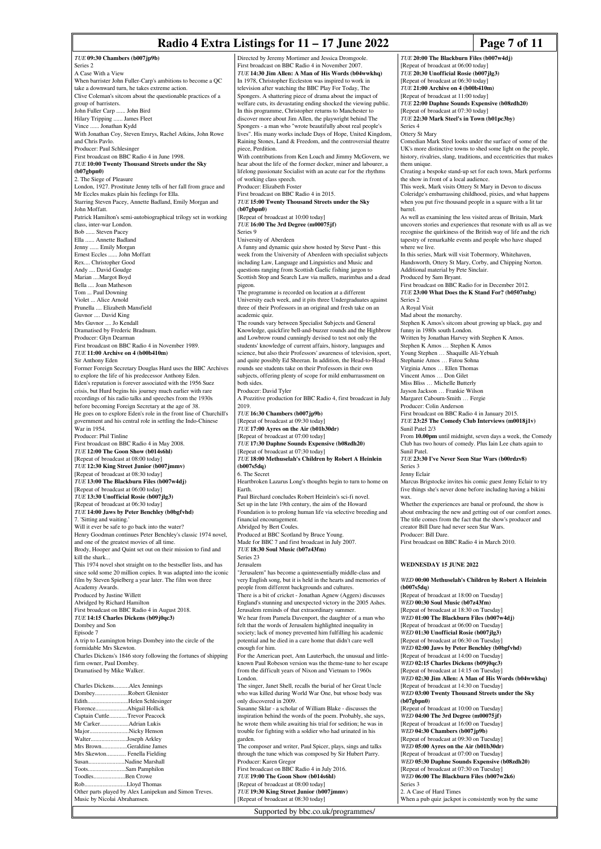#### **Radio 4 Extra Listings for 11 – 17 June 2022** Page 7 of 11

*TUE* **09:30 Chambers (b007jp9b)** Series 2 A Case With a View When barrister John Fuller-Carp's ambitions to become a QC take a downward turn, he takes extreme action Clive Coleman's sitcom about the questionable practices of a group of barristers. John Fuller Carp ...... John Bird Hilary Tripping ...... James Fleet Vince ...... Jonathan Kydd With Jonathan Coy, Steven Emrys, Rachel Atkins, John Rowe and Chris Pavlo. Producer: Paul Schlesinger First broadcast on BBC Radio 4 in June 1998. *TUE* **10:00 Twenty Thousand Streets under the Sky (b07gbpn0)** 2. The Siege of Pleasure London, 1927. Prostitute Jenny tells of her fall from grace and Mr Eccles makes plain his feelings for Ella. Starring Steven Pacey, Annette Badland, Emily Morgan and John Moffatt. Patrick Hamilton's semi-autobiographical trilogy set in working class, inter-war London. Bob ...... Steven Pacey Ella ...... Annette Badland Jenny ...... Emily Morgan Ernest Eccles ...... John Moffatt Rex.... Christopher Good Andy .... David Goudge Marian ....Margot Boyd Bella .... Joan Matheson Tom ... Paul Downing Violet ... Alice Arnold Prunella .... Elizabeth Mansfield Guvnor .... David King Mrs Guvnor .... Jo Kendall Dramatised by Frederic Bradnum. Producer: Glyn Dearman First broadcast on BBC Radio 4 in November 1989. *TUE* **11:00 Archive on 4 (b00b410m)** Sir Anthony Eden Former Foreign Secretary Douglas Hurd uses the BBC Archives to explore the life of his predecessor Anthony Eden. Eden's reputation is forever associated with the 1956 Suez crisis, but Hurd begins his journey much earlier with rare recordings of his radio talks and speeches from the 1930s before becoming Foreign Secretary at the age of 38. He goes on to explore Eden's role in the front line of Churchill's government and his central role in settling the Indo-Chines War in 1954. Producer: Phil Tinline First broadcast on BBC Radio 4 in May 2008. *TUE* **12:00 The Goon Show (b014s6hl)** [Repeat of broadcast at 08:00 today] *TUE* **12:30 King Street Junior (b007jmmv)** [Repeat of broadcast at 08:30 today] *TUE* **13:00 The Blackburn Files (b007w4dj)** [Repeat of broadcast at 06:00 today] *TUE* **13:30 Unofficial Rosie (b007jlg3)** [Repeat of broadcast at 06:30 today] *TUE* **14:00 Jaws by Peter Benchley (b0bgfvhd)** 7. 'Sitting and waiting.' Will it ever be safe to go back into the water? Henry Goodman continues Peter Benchley's classic 1974 novel, and one of the greatest movies of all time. Brody, Hooper and Quint set out on their mission to find and kill the shark... This 1974 novel shot straight on to the bestseller lists, and has since sold some 20 million copies. It was adapted into the iconic film by Steven Spielberg a year later. The film won three Academy Awards. Produced by Justine Willett Abridged by Richard Hamilton First broadcast on BBC Radio 4 in August 2018. *TUE* **14:15 Charles Dickens (b09j0qc3)** Dombey and Son Episode 7 A trip to Leamington brings Dombey into the circle of the formidable Mrs Skewton. Charles Dickens's 1846 story following the fortunes of shipping firm owner, Paul Dombey. Dramatised by Mike Walker. Charles Dickens..........Alex Jennings Dombey........................Robert Glenister<br>Edith Helen Schlesing Edith...........................Helen Schlesinger Florence.....................Abigail Hollick Captain Cuttle...<br>Mr Carker Adrian Lukis. Major..........................Nicky Henson Walter...........................Joseph Arkley<br>Mrs Brown Geraldine Jam Mrs Brown.................Geraldine James Mrs Skewton............. Fenella Fielding Susan........................Nadine Marshall Sam Pamphilon. Toodles.....................Ben Crowe Rob............................Lloyd Thomas Other parts played by Alex Lanipekun and Simon Treves. Music by Nicolai Abrahamsen. Series 9 pigeon. 2019. Earth. London. garden.

Directed by Jeremy Mortimer and Jessica Dromgoole. First broadcast on BBC Radio 4 in November 2007. *TUE* **14:30 Jim Allen: A Man of His Words (b04wwkhq)** In 1978, Christopher Eccleston was inspired to work in television after watching the BBC Play For Today, The Spongers. A shattering piece of drama about the impact of welfare cuts, its devastating ending shocked the viewing public. In this programme, Christopher returns to Manchester to discover more about Jim Allen, the playwright behind The Spongers - a man who "wrote beautifully about real people's lives". His many works include Days of Hope, United Kingdom,<br>Raining Stones, Land & Freedom, and the controversial theatre. Raining Stones, Land  $&$  Freedom, and the controversial theatre piece, Perdition. With contributions from Ken Loach and Jimmy McGovern, we hear about the life of the former docker, miner and labourer, a lifelong passionate Socialist with an acute ear for the rhythms of working class speech. Producer: Elizabeth Foster First broadcast on BBC Radio 4 in 2015. *TUE* **15:00 Twenty Thousand Streets under the Sky (b07gbpn0)** [Repeat of broadcast at 10:00 today] *TUE* **16:00 The 3rd Degree (m00075jf)** University of Aberdeen A funny and dynamic quiz show hosted by Steve Punt - this week from the University of Aberdeen with specialist subjects including Law, Language and Linguistics and Music and questions ranging from Scottish Gaelic fishing jargon to Scottish Stop and Search Law via mallets, marimbas and a dead The programme is recorded on location at a different University each week, and it pits three Undergraduates against three of their Professors in an original and fresh take on an academic quiz. The rounds vary between Specialist Subjects and General Knowledge, quickfire bell-and-buzzer rounds and the Highbrow and Lowbrow round cunningly devised to test not only the students' knowledge of current affairs, history, languages and science, but also their Professors' awareness of television, sport, and quite possibly Ed Sheeran. In addition, the Head-to-Head rounds see students take on their Professors in their own subjects, offering plenty of scope for mild embarrassment on both sides. Producer: David Tyler A Pozzitive production for BBC Radio 4, first broadcast in July *TUE* **16:30 Chambers (b007jp9b)** [Repeat of broadcast at 09:30 today] *TUE* **17:00 Ayres on the Air (b01b30dr)** [Repeat of broadcast at 07:00 today] *TUE* **17:30 Daphne Sounds Expensive (b08zdh20)** [Repeat of broadcast at 07:30 today] *TUE* **18:00 Methuselah's Children by Robert A Heinlein (b007s5dq)** 6. The Secret Heartbroken Lazarus Long's thoughts begin to turn to home on Paul Birchard concludes Robert Heinlein's sci-fi novel. Set up in the late 19th century, the aim of the Howard Foundation is to prolong human life via selective breeding and financial encouragement. Abridged by Bert Coules. Produced at BBC Scotland by Bruce Young. Made for BBC 7 and first broadcast in July 2007. *TUE* **18:30 Soul Music (b07z43fm)** Series 23 Jerusalem "Jerusalem" has become a quintessentially middle-class and very English song, but it is held in the hearts and memories of people from different backgrounds and cultures. There is a bit of cricket - Jonathan Agnew (Aggers) discusses England's stunning and unexpected victory in the 2005 Ashes. Jerusalem reminds of that extraordinary summer. We hear from Pamela Davenport, the daughter of a man who felt that the words of Jerusalem highlighted inequality in society; lack of money prevented him fulfilling his academic potential and he died in a care home that didn't care well .<br>enough for him. For the American poet, Ann Lauterbach, the unusual and littleknown Paul Robeson version was the theme-tune to her escape from the difficult years of Nixon and Vietnam to 1960s The singer, Janet Shell, recalls the burial of her Great Uncle who was killed during World War One, but whose body was only discovered in 2009. Susanne Sklar - a scholar of William Blake - discusses the inspiration behind the words of the poem. Probably, she says, he wrote them while awaiting his trial for sedition; he was in trouble for fighting with a soldier who had urinated in his The composer and writer, Paul Spicer, plays, sings and talks through the tune which was composed by Sir Hubert Parry. Producer: Karen Gregor First broadcast on BBC Radio 4 in July 2016. *TUE* **19:00 The Goon Show (b014s6hl)** [Repeat of broadcast at 08:00 today]

*TUE* **19:30 King Street Junior (b007jmmv)** [Repeat of broadcast at 08:30 today]

*TUE* **20:00 The Blackburn Files (b007w4dj)** [Repeat of broadcast at 06:00 today] *TUE* **20:30 Unofficial Rosie (b007jlg3)** [Repeat of broadcast at 06:30 today] *TUE* **21:00 Archive on 4 (b00b410m)** [Repeat of broadcast at 11:00 today] *TUE* **22:00 Daphne Sounds Expensive (b08zdh20)** [Repeat of broadcast at 07:30 today] *TUE* **22:30 Mark Steel's in Town (b01pc3by)** Series 4 Ottery St Mary Comedian Mark Steel looks under the surface of some of the UK's more distinctive towns to shed some light on the people, history, rivalries, slang, traditions, and eccentricities that makes them unique. Creating a bespoke stand-up set for each town, Mark performs the show in front of a local audience. This week, Mark visits Ottery St Mary in Devon to discuss Coleridge's embarrassing childhood, pixies, and what happens when you put five thousand people in a square with a lit tar barrel. As well as examining the less visited areas of Britain, Mark uncovers stories and experiences that resonate with us all as we recognise the quirkiness of the British way of life and the rich tapestry of remarkable events and people who have shaped where we live. In this series, Mark will visit Tobermory, Whitehaven, Handsworth, Ottery St Mary, Corby, and Chipping Norton. Additional material by Pete Sinclair. Produced by Sam Bryant. First broadcast on BBC Radio for in December 2012. *TUE* **23:00 What Does the K Stand For? (b0507mbg)** Series 2 A Royal Visit Mad about the monarchy. Stephen K Amos's sitcom about growing up black, gay and funny in 1980s south London. Written by Jonathan Harvey with Stephen K Amos. Stephen K Amos … Stephen K Amos Young Stephen … Shaquille Ali-Yebuah Stephanie Amos … Fatou Sohna Virginia Amos … Ellen Thomas Vincent Amos … Don Gilet Miss Bliss … Michelle Butterly Jayson Jackson … Frankie Wilson Margaret Cabourn-Smith … Fergie Producer: Colin Anderson First broadcast on BBC Radio 4 in January 2015. *TUE* **23:25 The Comedy Club Interviews (m0018j1v)** Sunil Patel 2/3 From **10.00pm** until midnight, seven days a week, the Comedy Club has two hours of comedy. Plus Iain Lee chats again to Sunil Patel. *TUE* **23:30 I've Never Seen Star Wars (b00rdzv8)** Series 3 Jenny Eclair Marcus Brigstocke invites his comic guest Jenny Eclair to try five things she's never done before including having a bikini wax. Whether the experiences are banal or profound, the show is about embracing the new and getting out of our comfort zones. The title comes from the fact that the show's producer and creator Bill Dare had never seen Star Wars. Producer: Bill Dare. First broadcast on BBC Radio 4 in March 2010. **WEDNESDAY 15 HINE 2022** *WED* **00:00 Methuselah's Children by Robert A Heinlein (b007s5dq)** [Repeat of broadcast at 18:00 on Tuesday] *WED* **00:30 Soul Music (b07z43fm)** [Repeat of broadcast at 18:30 on Tuesday] *WED* **01:00 The Blackburn Files (b007w4dj)** [Repeat of broadcast at 06:00 on Tuesday] *WED* **01:30 Unofficial Rosie (b007jlg3)** [Repeat of broadcast at 06:30 on Tuesday] *WED* **02:00 Jaws by Peter Benchley (b0bgfvhd)** [Repeat of broadcast at 14:00 on Tuesday] *WED* **02:15 Charles Dickens (b09j0qc3)** [Repeat of broadcast at 14:15 on Tuesday] *WED* **02:30 Jim Allen: A Man of His Words (b04wwkhq)** [Repeat of broadcast at 14:30 on Tuesday] *WED* **03:00 Twenty Thousand Streets under the Sky (b07gbpn0)** [Repeat of broadcast at 10:00 on Tuesday] *WED* **04:00 The 3rd Degree (m00075jf)** [Repeat of broadcast at 16:00 on Tuesday] *WED* **04:30 Chambers (b007jp9b)** [Repeat of broadcast at 09:30 on Tues *WED* **05:00 Ayres on the Air (b01b30dr)** [Repeat of broadcast at 07:00 on Tuesday] *WED* **05:30 Daphne Sounds Expensive (b08zdh20)** [Repeat of broadcast at 07:30 on Tuesday] *WED* **06:00 The Blackburn Files (b007w2k6)** Series 3

2. A Case of Hard Times When a pub quiz jackpot is consistently won by the same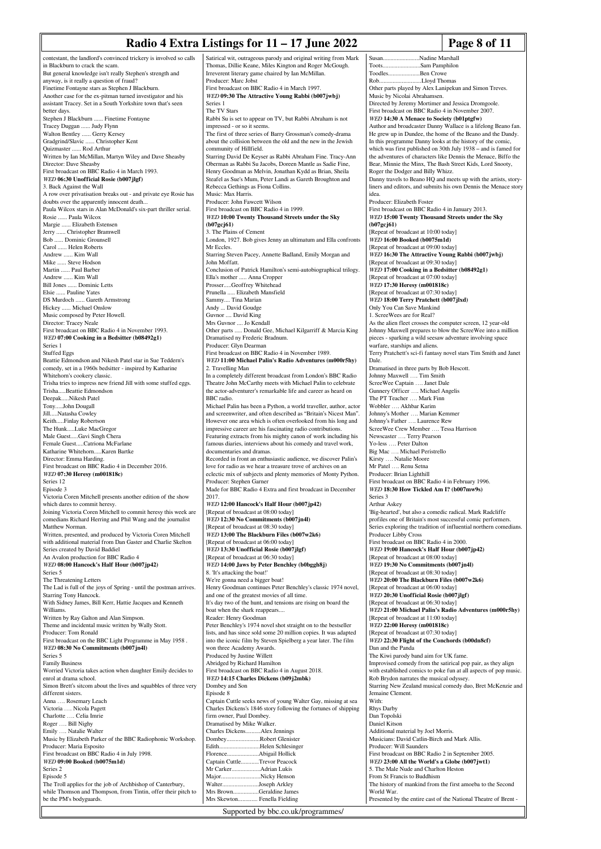## **Radio 4 Extra Listings for 11 – 17 June 2022 Page 8 of 11**

Susan........................Nadine Marshall

contestant, the landlord's convinced trickery is involved so calls in Blackburn to crack the scam. But general knowledge isn't really Stephen's strength and anyway, is it really a question of fraud? Finetime Fontayne stars as Stephen J Blackburn. Another case for the ex-pitman turned investigator and his assistant Tracey. Set in a South Yorkshire town that's seen better days. Stephen J Blackburn ...... Finetime Fontayr Tracey Duggan ...... Judy Flynn Walton Bentley ...... Gerry Kersey Gradgrind/Slavic ...... Christopher Kent Quizmaster ...... Rod Arthur Written by Ian McMillan, Martyn Wiley and Dave Sheasby Director: Dave Sheasby First broadcast on BBC Radio 4 in March 1993. *WED* **06:30 Unofficial Rosie (b007jlgf)** 3. Back Against the Wall A row over privatisation breaks out - and private eye Rosie has doubts over the apparently innocent death. Paula Wilcox stars in Alan McDonald's six-part thriller serial. Rosie ...... Paula Wilcox Margie ...... Elizabeth Estensen Jerry ...... Christopher Bramwell Bob ...... Dominic Grounsell Carol ...... Helen Roberts Andrew ...... Kim Wall Mike ...... Steve Hodson Martin ...... Paul Barber Andrew ...... Kim Wall ... Dominic Letts Elsie ...... Pauline Yates DS Murdoch ...... Gareth Armstrong Hickey ...... Michael Onslow Music composed by Peter Howell. Director: Tracey Neale First broadcast on BBC Radio 4 in November 1993. *WED* **07:00 Cooking in a Bedsitter (b08492g1)** Series 1 Stuffed Eggs Beattie Edmondson and Nikesh Patel star in Sue Teddern's comedy, set in a 1960s bedsitter - inspired by Katharine Whitehorn's cookery classic. Trisha tries to impress new friend Jill with some stuffed eggs. Trisha.....Beattie Edmondson Deepak.....Nikesh Patel Tony.....John Dougall Jill.....Natasha Cowley Keith.....Finlay Robertson The Hunk.....Luke MacGregor Male Guest.....Gavi Singh Chera Female Guest.....Catriona McFarlane Katharine Whitehorn Karen Bartke Director: Emma Harding. First broadcast on BBC Radio 4 in December 2016. *WED* **07:30 Heresy (m001818c)** Series 12 Episode 3 Victoria Coren Mitchell presents another edition of the show which dares to commit heresy. Joining Victoria Coren Mitchell to commit heresy this week are comedians Richard Herring and Phil Wang and the journalist Matthew Norman. Written, presented, and produced by Victoria Coren Mitchell with additional material from Dan Gaster and Charlie Skelton Series created by David Baddiel An Avalon production for BBC Radio 4 *WED* **08:00 Hancock's Half Hour (b007jp42)** Series 5 The Threatening Letters The Lad is full of the joys of Spring - until the postman arrives. Starring Tony Hancock. With Sidney James, Bill Kerr, Hattie Jacques and Kenneth Williams. Written by Ray Galton and Alan Simpson. Theme and incidental music written by Wally Stott. Producer: Tom Ronald First broadcast on the BBC Light Programme in May 1958. *WED* **08:30 No Commitments (b007jn4l)** Series 5 Family Business Worried Victoria takes action when daughter Emily decides to enrol at drama school. Simon Brett's sitcom about the lives and squabbles of three very different sisters. Anna …. Rosemary Leach Victoria …. Nicola Pagett Charlotte …. Celia Imrie Roger …. Bill Nighy Emily …. Natalie Walter Music by Elizabeth Parker of the BBC Radiophonic Workshop. Producer: Maria Esposito First broadcast on BBC Radio 4 in July 1998. *WED* **09:00 Booked (b0075m1d)** Series 2 Episode 5 The Troll applies for the job of Archbishop of Canterbury, while Thomson and Thompson, from Tintin, offer their pitch to be the PM's bodyguards. Satirical wit, outrageous parody and original writing from Mark Series 1 2017. Episode 8 Mrs Skewton............. Fenella Fielding

Thomas, Dillie Keane, Miles Kington and Roger McGough. Irreverent literary game chaired by Ian McMillan. Producer: Marc Jobst First broadcast on BBC Radio 4 in March 1997. *WED* **09:30 The Attractive Young Rabbi (b007jwbj)** The TV Stars Rabbi Su is set to appear on TV, but Rabbi Abraham is not impressed - or so it seems. The first of three series of Barry Grossman's comedy-drama about the collision between the old and the new in the Jewish community of Hillfield. Starring David De Keyser as Rabbi Abraham Fine. Tracy-Ann Oberman as Rabbi Su Jacobs, Doreen Mantle as Sadie Fine, Henry Goodman as Melvin, Jonathan Kydd as Brian, Sheila Steafel as Sue's Mum, Peter Landi as Gareth Broughton and Rebecca Gethings as Fiona Collins. Music: Max Harris. Producer: John Fawcett Wilson First broadcast on BBC Radio 4 in 1999. *WED* **10:00 Twenty Thousand Streets under the Sky (b07gcj61)** 3. The Plains of Cement London, 1927. Bob gives Jenny an ultimatum and Ella confronts Mr Eccles. Starring Steven Pacey, Annette Badland, Emily Morgan and John Moffatt. Conclusion of Patrick Hamilton's semi-autobiographical trilogy. Ella's mother ..... Anna Cropper Prosser.....Geoffrey Whitehead Prunella ..... Elizabeth Mansfield Sammy.... Tina Marian Andy ... David Goudge Guvnor .... David King Mrs Guvnor .... Jo Kendall Other parts ..... Donald Gee, Michael Kilgarriff & Marcia King Dramatised ny Frederic Bradnum. Producer: Glyn Dearman First broadcast on BBC Radio 4 in November 1989. *WED* **11:00 Michael Palin's Radio Adventures (m000r5hy)** 2. Travelling Man In a completely different broadcast from London's BBC Radio Theatre John McCarthy meets with Michael Palin to celebrate the actor-adventurer's remarkable life and career as heard on BBC radio. Michael Palin has been a Python, a world traveller, author, actor and screenwriter, and often described as "Britain's Nicest Man". However one area which is often overlooked from his long and impressive career are his fascinating radio contributions. Featuring extracts from his mighty canon of work including his famous diaries, interviews about his comedy and travel work, documentaries and dramas. Recorded in front an enthusiastic audience, we discover Palin's love for radio as we hear a treasure trove of archives on an eclectic mix of subjects and plenty memories of Monty Python. Producer: Stephen Garner Made for BBC Radio 4 Extra and first broadcast in December *WED* **12:00 Hancock's Half Hour (b007jp42)** [Repeat of broadcast at 08:00 today] *WED* **12:30 No Commitments (b007jn4l)** [Repeat of broadcast at 08:30 today] *WED* **13:00 The Blackburn Files (b007w2k6)** [Repeat of broadcast at 06:00 today] *WED* **13:30 Unofficial Rosie (b007jlgf)** [Repeat of broadcast at 06:30 today] *WED* **14:00 Jaws by Peter Benchley (b0bggh8j)** 8. 'It's attacking the boat!' We're gonna need a bigger boat! Henry Goodman continues Peter Benchley's classic 1974 novel, and one of the greatest movies of all time. It's day two of the hunt, and tensions are rising on board the boat when the shark reappears... Reader: Henry Goodman Peter Benchley's 1974 novel shot straight on to the bestseller lists, and has since sold some 20 million copies. It was adapted into the iconic film by Steven Spielberg a year later. The film won three Academy Awards. Produced by Justine Willett Abridged by Richard Hamilton First broadcast on BBC Radio 4 in August 2018. *WED* **14:15 Charles Dickens (b09j2mbk)** Dombey and Son Captain Cuttle seeks news of young Walter Gay, missing at sea Charles Dickens's 1846 story following the fortunes of shipping firm owner, Paul Dombey. Dramatised by Mike Walker. Charles Dickens..........Alex Jennings Dombey........................Robert Glenister<br>Edith Helen Schlesing Edith...........................Helen Schlesinger Florence.....................Abigail Hollick Captain Cuttle............Trevor Peacock<br>Mr Carker Adrian Lukis  $Mr$  Carker... Major...............................Nicky Henson<br>Walter.........................Joseph Arkley Walter.........................Joseph Arkley<br>Mrs Brown................Geraldine Jame Mrs Brown.................Geraldine James

Toots.........................Sam Pamphilon Toodles.....................Ben Crowe ..Lloyd Thomas Other parts played by Alex Lanipekun and Simon Treves. Music by Nicolai Abrahamsen. Directed by Jeremy Mortimer and Jessica Dromgoole. First broadcast on BBC Radio 4 in November 2007. *WED* **14:30 A Menace to Society (b01ptgfw)** Author and broadcaster Danny Wallace is a lifelong Beano fan. He grew up in Dundee, the home of the Beano and the Dandy. In this programme Danny looks at the history of the comic, which was first published on 30th July 1938 – and is famed for the adventures of characters like Dennis the Menace, Biffo the Bear, Minnie the Minx, The Bash Street Kids, Lord Snooty, Roger the Dodger and Billy Whizz. Danny travels to Beano HQ and meets up with the artists, storyliners and editors, and submits his own Dennis the Menace story idea. Producer: Elizabeth Foster First broadcast on BBC Radio 4 in January 2013. *WED* **15:00 Twenty Thousand Streets under the Sky (b07gcj61)** [Repeat of broadcast at 10:00 today] *WED* **16:00 Booked (b0075m1d)** [Repeat of broadcast at 09:00 today] *WED* **16:30 The Attractive Young Rabbi (b007jwbj)** [Repeat of broadcast at 09:30 today] *WED* **17:00 Cooking in a Bedsitter (b08492g1)** [Repeat of broadcast at 07:00 today] *WED* **17:30 Heresy (m001818c)** [Repeat of broadcast at 07:30 today] *WED* **18:00 Terry Pratchett (b007jlxd)** Only You Can Save Mankind 1. ScreeWees are for Real? As the alien fleet crosses the computer screen, 12 year-old Johnny Maxwell prepares to blow the ScreeWee into a million pieces - sparking a wild seesaw adventure involving space warfare, starships and aliens. Terry Pratchett's sci-fi fantasy novel stars Tim Smith and Janet Dale. Dramatised in three parts by Bob Hescott. Johnny Maxwell …. Tim Smith ScreeWee Captain …. Janet Dale Gunnery Officer .... Michael Angelis The PT Teacher …. Mark Finn Wobbler **Akhbar Karim** Johnny's Mother …. Marian Kemmer Johnny's Father …. Laurence Rew ScreeWee Crew Member …. Tessa Harrison Newscaster …. Terry Pearson Yo-less …. Peter Dalton Big Mac …. Michael Peristrello Kirsty .... Natalie Moore Mr Patel …. Renu Setna Producer: Brian Lighthill First broadcast on BBC Radio 4 in February 1996. *WED* **18:30 How Tickled Am I? (b007mw9s)** Series 3 Arthur Askey 'Big-hearted', but also a comedic radical. Mark Radcliffe profiles one of Britain's most successful comic performers. Series exploring the tradition of influential northern comedians. Producer Libby Cross First broadcast on BBC Radio 4 in 2000. *WED* **19:00 Hancock's Half Hour (b007jp42)** [Repeat of broadcast at 08:00 today] *WED* **19:30 No Commitments (b007jn4l)** [Repeat of broadcast at 08:30 today] *WED* **20:00 The Blackburn Files (b007w2k6)** [Repeat of broadcast at 06:00 today] *WED* **20:30 Unofficial Rosie (b007jlgf)** [Repeat of broadcast at 06:30 today] *WED* **21:00 Michael Palin's Radio Adventures (m000r5hy)** [Repeat of broadcast at 11:00 today] *WED* **22:00 Heresy (m001818c)** [Repeat of broadcast at 07:30 today] *WED* **22:30 Flight of the Conchords (b00dn8cf)** Dan and the Panda The Kiwi parody band aim for UK fame. Improvised comedy from the satirical pop pair, as they align with established comics to poke fun at all aspects of pop music. Rob Brydon narrates the musical odyssey. Starring New Zealand musical comedy duo, Bret McKenzie and Jemaine Clement. With: Rhys Darby Dan Topolski Daniel Kitson Additional material by Joel Morris. Musicians: David Catlin-Birch and Mark Allis. Producer: Will Saunders First broadcast on BBC Radio 2 in September 2005. *WED* **23:00 All the World's a Globe (b007jwt1)** 5. The Male Nude and Charlton Heston From St Francis to Buddhism The history of mankind from the first amoeba to the Second World War. Presented by the entire cast of the National Theatre of Brent -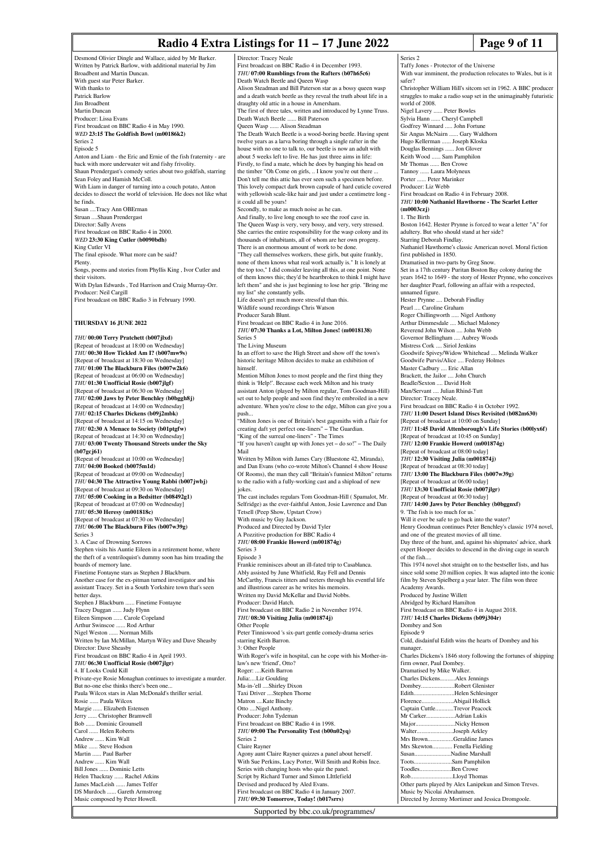### **Radio 4 Extra Listings for 11 – 17 June 2022** Page 9 of 11

#### Desmond Olivier Dingle and Wallace, aided by Mr Barker. Written by Patrick Barlow, with additional material by Jim Broadbent and Martin Duncan. With guest star Peter Barker. With thanks to Patrick Barlow Jim Broadbent Martin Duncan Producer: Lissa Evans First broadcast on BBC Radio 4 in May 1990. *WED* **23:15 The Goldfish Bowl (m00186k2)** Series 2 Episode 5 Anton and Liam - the Eric and Ernie of the fish fraternity - are back with more underwater wit and fishy frivolity. Shaun Prendergast's comedy series about two goldfish, starring Sean Foley and Hamish McColl. With Liam in danger of turning into a couch potato, Anton decides to dissect the world of television. He does not like what he finds. Susan ....Tracy Ann OBErman Struan ....Shaun Prendergast Director: Sally Avens First broadcast on BBC Radio 4 in 2000. *WED* **23:30 King Cutler (b0090bdh)** King Cutler VI The final episode. What more can be said? Plenty. Songs, poems and stories from Phyllis King , Ivor Cutler and their visitors. With Dylan Edwards , Ted Harrison and Craig Murray-Orr. Producer: Neil Cargill First broadcast on BBC Radio 3 in February 1990. **THURSDAY 16 JUNE 2022** *THU* **00:00 Terry Pratchett (b007jlxd)** [Repeat of broadcast at 18:00 on Wednesday] *THU* **00:30 How Tickled Am I? (b007mw9s)** [Repeat of broadcast at 18:30 on Wednesday] *THU* **01:00 The Blackburn Files (b007w2k6)** [Repeat of broadcast at 06:00 on Wednesday] *THU* **01:30 Unofficial Rosie (b007jlgf)** [Repeat of broadcast at 06:30 on Wednesday] *THU* **02:00 Jaws by Peter Benchley (b0bggh8j)** [Repeat of broadcast at 14:00 on Wednesday] *THU* **02:15 Charles Dickens (b09j2mbk)** [Repeat of broadcast at 14:15 on Wednesday] *THU* **02:30 A Menace to Society (b01ptgfw)** [Repeat of broadcast at 14:30 on Wednesday] *THU* **03:00 Twenty Thousand Streets under the Sky (b07gcj61)** [Repeat of broadcast at 10:00 on Wednesday] *THU* **04:00 Booked (b0075m1d)** [Repeat of broadcast at 09:00 on Wednesday] *THU* **04:30 The Attractive Young Rabbi (b007jwbj)** [Repeat of broadcast at 09:30 on Wednesday] *THU* **05:00 Cooking in a Bedsitter (b08492g1)** [Repeat of broadcast at 07:00 on Wednesday] *THU* **05:30 Heresy (m001818c)** [Repeat of broadcast at 07:30 on Wednesday] *THU* **06:00 The Blackburn Files (b007w39g)** Series 3 3. A Case of Drowning Sorrows Stephen visits his Auntie Eileen in a retirement home, where the theft of a ventriloquist's dummy soon has him treading the boards of memory lane. Finetime Fontayne stars as Stephen J Blackburn. Another case for the ex-pitman turned investigator and his assistant Tracey. Set in a South Yorkshire town that's seen better days. Stephen J Blackburn ...... Finetime Fontayne Tracey Duggan ...... Judy Flynn Eileen Simpson ...... Carole Copeland Arthur Swinscoe ...... Rod Arthur Nigel Weston ...... Norman Mills Written by Ian McMillan, Martyn Wiley and Dave Sheasby Director: Dave Sheasby First broadcast on BBC Radio 4 in April 1993. *THU* **06:30 Unofficial Rosie (b007jlgr)** 4. If Looks Could Kill Private-eye Rosie Monaghan continues to investigate a murder. But no-one else thinks there's been one. Paula Wilcox stars in Alan McDonald's thriller serial. Rosie ...... Paula Wilcox Margie ...... Elizabeth Estensen Jerry ...... Christopher Bramwell Bob ...... Dominic Grounsell Carol ...... Helen Roberts Andrew ...... Kim Wall Mike ...... Steve Hodson Martin ...... Paul Barber Andrew ...... Kim Wall Bill Jones ...... Dominic Letts Helen Thackray ...... Rachel Atkins<br>James MacLeish ...... James Telfer push... Mail jokes.

James MacLeish ...

DS Murdoch ...... Gareth Armstrong Music composed by Peter Howell.

Director: Tracey Neale First broadcast on BBC Radio 4 in December 1993. *THU* **07:00 Rumblings from the Rafters (b07h65c6)** Death Watch Beetle and Queen Wasp Alison Steadman and Bill Paterson star as a bossy queen wasp and a death watch beetle as they reveal the truth about life in a draughty old attic in a house in Amersham. The first of three tales, written and introduced by Lynne Truss. Death Watch Beetle ...... Bill Paterson Queen Wasp ...... Alison Steadman The Death Watch Beetle is a wood-boring beetle. Having spent twelve years as a larva boring through a single rafter in th house with no one to talk to, our beetle is now an adult with about 5 weeks left to live. He has just three aims in life: Firstly, to find a mate, which he does by banging his head on the timber "Oh Come on girls, .. I know you're out there Don't tell me this attic has ever seen such a specimen before. This lovely compact dark brown capsule of hard cuticle covered with yellowish scale-like hair and just under a centimetre long it could all be yours! Secondly, to make as much noise as he can. And finally, to live long enough to see the roof cave in. The Queen Wasp is very, very bossy, and very, very stressed. She carries the entire responsibility for the wasp colony and its thousands of inhabitants, all of whom are her own progeny. There is an enormous amount of work to be done. "They call themselves workers, these girls, but quite frankly, none of them knows what real work actually is." It is lonely at the top too," I did consider leaving all this, at one point. None of them knows this; they'd be heartbroken to think I might have left them" and she is just beginning to lose her grip. "Bring me my list" she constantly yells. Life doesn't get much more stressful than this. Wildlife sound recordings Chris Watson Producer Sarah Blunt. First broadcast on BBC Radio 4 in June 2016. *THU* **07:30 Thanks a Lot, Milton Jones! (m0018138)** Series 5 The Living Museum In an effort to save the High Street and show off the town's historic heritage Milton decides to make an exhibition of himself. Mention Milton Jones to most people and the first thing they think is 'Help!'. Because each week Milton and his trusty assistant Anton (played by Milton regular, Tom Goodman-Hill) set out to help people and soon find they're embroiled in a new adventure. When you're close to the edge, Milton can give you a "Milton Jones is one of Britain's best gagsmiths with a flair for creating daft yet perfect one-liners" – The Guardian. "King of the surreal one-liners" - The Times "If you haven't caught up with Jones yet – do so!" – The Daily Written by Milton with James Cary (Bluestone 42, Miranda), and Dan Evans (who co-wrote Milton's Channel 4 show House Of Rooms), the man they call "Britain's funniest Milton" returns to the radio with a fully-working cast and a shipload of new The cast includes regulars Tom Goodman-Hill ( Spamalot, Mr. Selfridge) as the ever-faithful Anton, Josie Lawrence and Dan Tetsell (Peep Show, Upstart Crow) With music by Guy Jackson. Produced and Directed by David Tyler A Pozzitive production for BBC Radio 4 *THU* **08:00 Frankie Howerd (m001874g)** Series 3 Episode 3 Frankie reminisces about an ill-fated trip to Casablanca. Ably assisted by June Whitfield, Ray Fell and Dennis McCarthy, Francis titters and teeters through his eventful life and illustrious career as he writes his memoirs. Written my David McKellar and David Nobbs. Producer: David Hatch. First broadcast on BBC Radio 2 in November 1974. *THU* **08:30 Visiting Julia (m001874j)** Other People Peter Tinniswood 's six-part gentle comedy-drama series starring Keith Barron. 3: Other People With Roger's wife in hospital, can he cope with his Mother-inlaw's new 'friend', Otto? Roger: ....Keith Barron Julia:....Liz Goulding Ma-in-'ell ....Shirley Dixon Taxi Driver ....Stephen Thorne Matron ....Kate Binchy Otto ....Nigel Anthony. Producer: John Tydeman First broadcast on BBC Radio 4 in 1998. *THU* **09:00 The Personality Test (b00n02yq)** Series 2 Claire Rayner Agony aunt Claire Rayner quizzes a panel about herself. With Sue Perkins, Lucy Porter, Will Smith and Robin Ince. Series with changing hosts who quiz the panel. Script by Richard Turner and Simon LIttlefield Devised and produced by Aled Evans. First broadcast on BBC Radio 4 in January 2007. *THU* **09:30 Tomorrow, Today! (b017srrs)**

#### Series 2 Taffy Jones - Protector of the Universe With war imminent, the production relocates to Wales, but is it safer? Christopher William Hill's sitcom set in 1962. A BBC producer struggles to make a radio soap set in the unimaginably futuristic world of 2008. Nigel Lavery ...... Peter Bowles Sylvia Hann ...... Cheryl Campbell Godfrey Winnard ..... John Fortune Sir Angus McNairn ...... Gary Waldhorn Hugo Kellerman ...... Joseph Kloska Douglas Bennings ...... Jon Glover Keith Wood ...... Sam Pamphilon Mr Thomas ...... Ben Crowe Tannoy ...... Laura Molyneux Porter ...... Peter Marinker Producer: Liz Webb First broadcast on Radio 4 in February 2008. *THU* **10:00 Nathaniel Hawthorne - The Scarlet Letter (m0003czj)** 1. The Birth Boston 1642. Hester Prynne is forced to wear a letter "A" for adultery. But who should stand at her side? Starring Deborah Findlay. Nathaniel Hawthorne's classic American novel. Moral fiction first published in 1850. Dramatised in two-parts by Greg Snow. Set in a 17th century Puritan Boston Bay colony during the years 1642 to 1649 - the story of Hester Prynne, who conceives her daughter Pearl, following an affair with a respected, unnamed figure. Hester Prynne .... Deborah Findlay Pearl .... Caroline Graham Roger Chillingworth ..... Nigel Anthony Arthur Dimmesdale .... Michael Maloney Reverend John Wilson .... John Webb Governor Bellingham .... Aubrey Woods Mistress Cork .... Siriol Jenkins Goodwife Spivey/Widow Whitehead .... Melinda Walker Goodwife Purvis/Alice .... Federay Holmes Master Cadbury .... Eric Allan Brackett, the Jailor .... John Church Beadle/Sexton .... David Holt Man/Servant .... Julian Rhind-Tutt Director: Tracey Neale. First broadcast on BBC Radio 4 in October 1992. *THU* **11:00 Desert Island Discs Revisited (b082m630)** [Repeat of broadcast at 10:00 on Sunday] *THU* **11:45 David Attenborough's Life Stories (b00lyx6f)** [Repeat of broadcast at 10:45 on Sunday] *THU* **12:00 Frankie Howerd (m001874g)** [Repeat of broadcast at 08:00 today] *THU* **12:30 Visiting Julia (m001874j)** [Repeat of broadcast at 08:30 today] *THU* **13:00 The Blackburn Files (b007w39g)** [Repeat of broadcast at 06:00 today] *THU* **13:30 Unofficial Rosie (b007jlgr)** [Repeat of broadcast at 06:30 today] *THU* **14:00 Jaws by Peter Benchley (b0bggnxf)** 9. 'The fish is too much for us.' Will it ever be safe to go back into the water? Henry Goodman continues Peter Benchley's classic 1974 novel, and one of the greatest movies of all time. Day three of the hunt, and, against his shipmates' advice, shark expert Hooper decides to descend in the diving cage in search of the fish.... This 1974 novel shot straight on to the bestseller lists, and has since sold some 20 million copies. It was adapted into the iconic film by Steven Spielberg a year later. The film won three Academy Awards. Produced by Justine Willett Abridged by Richard Hamilton First broadcast on BBC Radio 4 in August 2018. *THU* **14:15 Charles Dickens (b09j304r)** Dombey and Son Episode 9 Cold, disdainful Edith wins the hearts of Dombey and his manager. Charles Dickens's 1846 story following the fortunes of shipping firm owner, Paul Dombey. Dramatised by Mike Walker. Charles Dickens..........Alex Jennings Dombey......................Robert Glenister Edith..............................Helen Schlesinger<br>Florence.......................Abigail Hollick .<br>Abigail Hollick Captain Cuttle...........Trevor Peacock<br>Mr Carker.....................Adrian Lukis Mr Carker...................Adrian Lukis Major................................Nicky Henson<br>Walter........................Joseph Arkley Walter.........................Joseph Arkley<br>Mrs Brown................Geraldine Jam Mrs Brown.....................Geraldine James<br>Mrs Skewton..................Fenella Fielding media<br>
Fenella Fielding Susan........................Nadine Marshall Toots.........................Sam Pamphilon Ren Crowe Rob............................Lloyd Thomas Other parts played by Alex Lanipekun and Simon Treves. Music by Nicolai Abrahamsen.

Directed by Jeremy Mortimer and Jessica Dromgoole.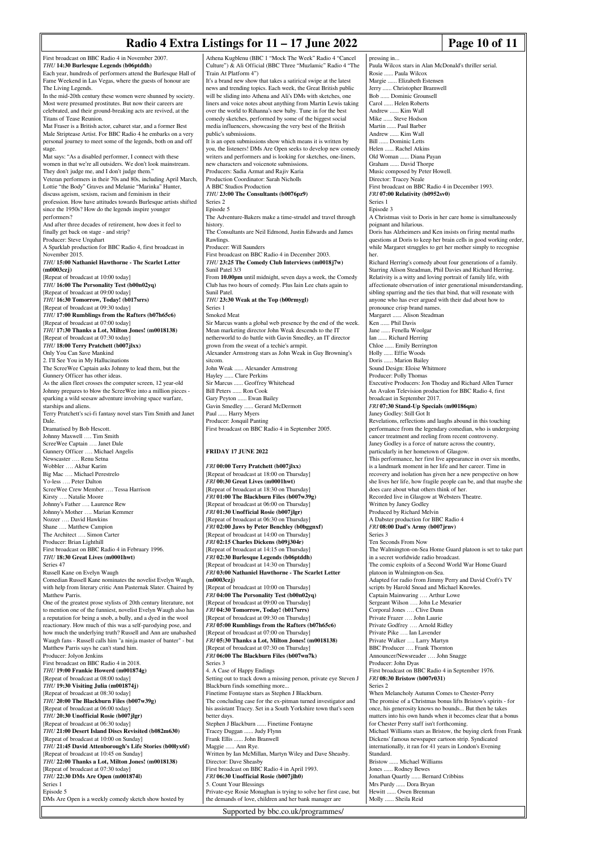# **Radio 4 Extra Listings for 11 – 17 June 2022 Page 10 of 11**

First broadcast on BBC Radio 4 in November 2007. *THU* **14:30 Burlesque Legends (b06ptddh)** Each year, hundreds of performers attend the Burlesque Hall of Fame Weekend in Las Vegas, where the guests of honour are The Living Legends. In the mid-20th century these women were shunned by society. Most were presumed prostitutes. But now their careers are celebrated, and their ground-breaking acts are revived, at the Titans of Tease Reunion. Mat Fraser is a British actor, cabaret star, and a former Best Male Striptease Artist. For BBC Radio 4 he embarks on a very personal journey to meet some of the legends, both on and off stage. Mat says: "As a disabled performer, I connect with these women in that we're all outsiders. We don't look mainstream. They don't judge me, and I don't judge them." Veteran performers in their 70s and 80s, including April March, Lottie "the Body" Graves and Melanie "Marinka" Hunter, discuss ageism, sexism, racism and feminism in their profession. How have attitudes towards Burlesque artists shifted since the 1950s? How do the legends inspire younger performers? And after three decades of retirement, how does it feel to finally get back on stage - and strip? Producer: Steve Urquhart A Sparklab production for BBC Radio 4, first broadcast in November 2015. *THU* **15:00 Nathaniel Hawthorne - The Scarlet Letter (m0003czj)** [Repeat of broadcast at 10:00 today] *THU* **16:00 The Personality Test (b00n02yq)** [Repeat of broadcast at 09:00 today] *THU* **16:30 Tomorrow, Today! (b017srrs)** [Repeat of broadcast at 09:30 today] *THU* **17:00 Rumblings from the Rafters (b07h65c6)** [Repeat of broadcast at 07:00 today] *THU* **17:30 Thanks a Lot, Milton Jones! (m0018138)** [Repeat of broadcast at 07:30 today] *THU* **18:00 Terry Pratchett (b007jlxx)** Only You Can Save Mankind 2. I'll See You in My Hallucinations The ScreeWee Captain asks Johnny to lead them, but the Gunnery Officer has other ideas. As the alien fleet crosses the computer screen, 12 year-old Johnny prepares to blow the ScreeWee into a million pieces sparking a wild seesaw adventure involving space warfare, starships and aliens. Terry Pratchett's sci-fi fantasy novel stars Tim Smith and Janet Dale. Dramatised by Bob Hescott. Johnny Maxwell …. Tim Smith ScreeWee Captain …. Janet Dale Gunnery Officer …. Michael Angelis Newscaster …. Renu Setna Wobbler …. Akbar Karim Big Mac …. Michael Perestrelo Yo-less …. Peter Dalton ScreeWee Crew Member .... Tessa Harrison Kirsty …. Natalie Moore Johnny's Father …. Laurence Rew Johnny's Mother …. Marian Kemmer Nozzer …. David Hawkins Shane …. Matthew Campion The Architect .... Simon Carter Producer: Brian Lighthill First broadcast on BBC Radio 4 in February 1996. *THU* **18:30 Great Lives (m0001hwt)** Series 47 Russell Kane on Evelyn Waugh Comedian Russell Kane nominates the novelist Evelyn Waugh, with help from literary critic Ann Pasternak Slater. Chaired by Matthew Parris. One of the greatest prose stylists of 20th century literature, not to mention one of the funniest, novelist Evelyn Waugh also has a reputation for being a snob, a bully, and a dyed in the wool reactionary. How much of this was a self-parodying pose, and how much the underlying truth? Russell and Ann are unabashed Waugh fans - Russell calls him "a ninja master of banter" - but Matthew Parris says he can't stand him. Producer: Jolyon Jenkins First broadcast on BBC Radio 4 in 2018. *THU* **19:00 Frankie Howerd (m001874g)** [Repeat of broadcast at 08:00 today] *THU* **19:30 Visiting Julia (m001874j)** [Repeat of broadcast at 08:30 today] *THU* **20:00 The Blackburn Files (b007w39g)** [Repeat of broadcast at 06:00 today] *THU* **20:30 Unofficial Rosie (b007jlgr)** [Repeat of broadcast at 06:30 today] *THU* **21:00 Desert Island Discs Revisited (b082m630)** [Repeat of broadcast at 10:00 on Sunday] *THU* **21:45 David Attenborough's Life Stories (b00lyx6f)** [Repeat of broadcast at 10:45 on Sunday] *THU* **22:00 Thanks a Lot, Milton Jones! (m0018138)** Athena Kugblenu (BBC 1 "Mock The Week" Radio 4 "Cancel Culture") & Ali Official (BBC Three "Muzlamic" Radio 4 "The Train At Platform 4") It's a brand new show that takes a satirical swipe at the latest news and trending topics. Each week, the Great British public will be sliding into Athena and Ali's DMs with sketches, one liners and voice notes about anything from Martin Lewis taking over the world to Rihanna's new baby. Tune in for the best comedy sketches, performed by some of the biggest social media influencers, showcasing the very best of the British public's submissions. It is an open submissions show which means it is written by you, the listeners! DMs Are Open seeks to develop new comedy writers and performers and is looking for sketches, one-liners, new characters and voicenote submissions. Producers: Sadia Azmat and Rajiv Karia Production Coordinator: Sarah Nicholls A BBC Studios Production *THU* **23:00 The Consultants (b0076pz9)** Series 2 Episode 5 The Adventure-Bakers make a time-strudel and travel through history. The Consultants are Neil Edmond, Justin Edwards and James **Rawlings** Producer: Will Saunders First broadcast on BBC Radio 4 in December 2003. *THU* **23:25 The Comedy Club Interviews (m0018j7w)** Sunil Patel 3/3 From **10.00pm** until midnight, seven days a week, the Comedy Club has two hours of comedy. Plus Iain Lee chats again to Sunil Patel. *THU* **23:30 Weak at the Top (b00rmygl)** Series 1 Smoked Meat Sir Marcus wants a global web presence by the end of the week. Mean marketing director John Weak descends to the IT netherworld to do battle with Gavin Smedley, an IT director grown from the sweat of a techie's armpit. Alexander Armstrong stars as John Weak in Guy Browning's sitcom. John Weak ...... Alexander Armstrong Hayley ...... Clare Perkins Sir Marcus ...... Geoffrey Whitehead Bill Peters ...... Ron Cook Gary Peyton ...... Ewan Bailey Gavin Smedley ...... Gerard McDermott Paul ...... Harry Myers Producer: Jonquil Panting First broadcast on BBC Radio 4 in September 2005. **FRIDAY 17 JUNE 2022** *FRI* **00:00 Terry Pratchett (b007jlxx)** [Repeat of broadcast at 18:00 on Thursday] *FRI* **00:30 Great Lives (m0001hwt)** [Repeat of broadcast at 18:30 on Thursday] *FRI* **01:00 The Blackburn Files (b007w39g)** [Repeat of broadcast at 06:00 on Thursday] *FRI* **01:30 Unofficial Rosie (b007jlgr)** [Repeat of broadcast at 06:30 on Thursday] *FRI* **02:00 Jaws by Peter Benchley (b0bggnxf)** [Repeat of broadcast at 14:00 on Thursday] *FRI* **02:15 Charles Dickens (b09j304r)** [Repeat of broadcast at 14:15 on Thursday] *FRI* **02:30 Burlesque Legends (b06ptddh)** [Repeat of broadcast at 14:30 on Thursday] *FRI* **03:00 Nathaniel Hawthorne - The Scarlet Letter (m0003czj)** [Repeat of broadcast at 10:00 on Thursday] *FRI* **04:00 The Personality Test (b00n02yq)** [Repeat of broadcast at 09:00 on Thursday] *FRI* **04:30 Tomorrow, Today! (b017srrs)** [Repeat of broadcast at 09:30 on Thursday] *FRI* **05:00 Rumblings from the Rafters (b07h65c6)** [Repeat of broadcast at 07:00 on Thursday] *FRI* **05:30 Thanks a Lot, Milton Jones! (m0018138)** [Repeat of broadcast at 07:30 on Thursday] *FRI* **06:00 The Blackburn Files (b007wn7k)** Series 3 4. A Case of Happy Endings

Setting out to track down a missing person, private eye Steven J Blackburn finds something more. Finetime Fontayne stars as Stephen J Blackburn. The concluding case for the ex-pitman turned investigator and his assistant Tracey. Set in a South Yorkshire town that's seen better days. Stephen J Blackburn ...... Finetime Fontayne Tracey Duggan ...... Judy Flynn Frank Ellis ...... John Branwell Maggie ...... Ann Rye. Written by Ian McMillan, Martyn Wiley and Dave Sheasby. Director: Dave Sheasby First broadcast on BBC Radio 4 in April 1993. *FRI* **06:30 Unofficial Rosie (b007jlh0)** 5. Count Your Blessings Private-eye Rosie Monaghan is trying to solve her first case, but the demands of love, children and her bank manager are

pressing in... Paula Wilcox stars in Alan McDonald's thriller serial. Rosie ...... Paula Wilcox Margie ...... Elizabeth Estensen Jerry ...... Christopher Bramwell .... Dominic Grounsell Carol ...... Helen Roberts Andrew ...... Kim Wall Mike ...... Steve Hodson Martin ...... Paul Barber Andrew ...... Kim Wall Bill ...... Dominic Letts Helen ...... Rachel Atkins Old Woman ...... Diana Payan Graham ...... David Thorpe Music composed by Peter Howell. Director: Tracey Neale First broadcast on BBC Radio 4 in December 1993. *FRI* **07:00 Relativity (b0952sv0)** Series 1 Episode 3 A Christmas visit to Doris in her care home is simultaneously poignant and hilarious. Doris has Alzheimers and Ken insists on firing mental math questions at Doris to keep her brain cells in good working order, while Margaret struggles to get her mother simply to recognise her. Richard Herring's comedy about four generations of a family. Starring Alison Steadman, Phil Davies and Richard Herring. Relativity is a witty and loving portrait of family life, with affectionate observation of inter generational misunderstanding, sibling sparring and the ties that bind, that will resonate with anyone who has ever argued with their dad about how to pronounce crisp brand names. Margaret ...... Alison Steadman Ken ...... Phil Davis Jane ...... Fenella Woolgar Ian ...... Richard Herring Chloe ...... Emily Berrington Holly ...... Effie Woods Doris ...... Marion Bailey Sound Design: Eloise Whitmore Producer: Polly Thomas Executive Producers: Jon Thoday and Richard Allen Turner An Avalon Television production for BBC Radio 4, first broadcast in September 2017. *FRI* **07:30 Stand-Up Specials (m00186qm)** Janey Godley: Still Got It Revelations, reflections and laughs abound in this touching performance from the legendary comedian, who is undergoing cancer treatment and reeling from recent controversy. Janey Godley is a force of nature across the country, particularly in her hometown of Glasgow. This performance, her first live appearance in over six months, is a landmark moment in her life and her career. Time in recovery and isolation has given her a new perspective on how she lives her life, how fragile people can be, and that maybe she does care about what others think of her. Recorded live in Glasgow at Websters Theatre. Written by Janey Godley Produced by Richard Melvin A Dabster production for BBC Radio 4 *FRI* **08:00 Dad's Army (b007jrnv)** Series 3 Ten Seconds From Now The Walmington-on-Sea Home Guard platoon is set to take part in a secret worldwide radio broadcast. The comic exploits of a Second World War Home Guard platoon in Walmington-on-Sea. Adapted for radio from Jimmy Perry and David Croft's TV scripts by Harold Snoad and Michael Knowles. Captain Mainwaring …. Arthur Lowe Sergeant Wilson …. John Le Mesurier Corporal Jones …. Clive Dunn Private Frazer …. John Laurie Private Godfrey …. Arnold Ridley Private Pike …. Ian Lavender Private Walker …. Larry Martyn BBC Producer .... Frank Thornton Announcer/Newsreader …. John Snagge Producer: John Dyas First broadcast on BBC Radio 4 in September 1976. *FRI* **08:30 Bristow (b007r031)** Series 2 When Melancholy Autumn Comes to Chester-Perry The promise of a Christmas bonus lifts Bristow's spirits - for once, his generosity knows no bounds... But then he takes matters into his own hands when it becomes clear that a bon for Chester Perry staff isn't forthcoming. Michael Williams stars as Bristow, the buying clerk from Frank Dickens' famous newspaper cartoon strip. Syndicated internationally, it ran for 41 years in London's Evening Standard.<br>Bristow ..... Michael Williams Jones ...... Rodney Bewes Jonathan Quartly ...... Bernard Cribbins Mrs Purdy ...... Dora Bryan Hewitt ...... Owen Brenman

Molly ...... Sheila Reid

DMs Are Open is a weekly comedy sketch show hosted by

[Repeat of broadcast at 07:30 today] *THU* **22:30 DMs Are Open (m001874l)**

Series 1 Episode 5